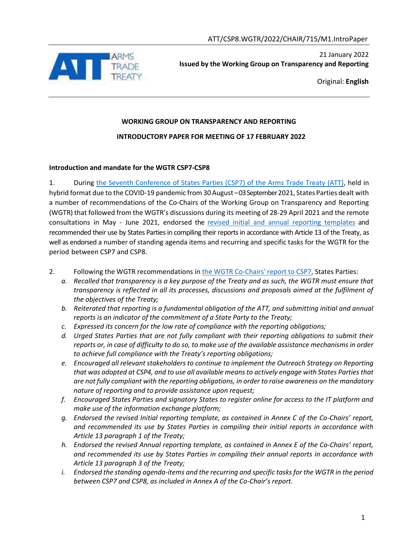

21 January 2022 **Issued by the Working Group on Transparency and Reporting**

Original: **English**

# **WORKING GROUP ON TRANSPARENCY AND REPORTING INTRODUCTORY PAPER FOR MEETING OF 17 FEBRUARY 2022**

### **Introduction and mandate for the WGTR CSP7-CSP8**

1. During the Seventh [Conference of States Parties \(CSP7\) of the Arms Trade Treaty \(ATT\),](https://www.thearmstradetreaty.org/csp-7.html) held in hybrid format due to the COVID-19 pandemic from 30 August –03 September 2021, States Parties dealt with a number of recommendations of the Co-Chairs of the Working Group on Transparency and Reporting (WGTR) that followed from the WGTR's discussions during its meeting of 28-29 April 2021 and the remote consultations in May - June 2021, endorsed the revised initial and [annual reporting templates](https://thearmstradetreaty.org/reporting.html) and recommended their use by States Parties in compiling their reports in accordance with Article 13 of the Treaty, as well as endorsed a number of standing agenda items and recurring and specific tasks for the WGTR for the period between CSP7 and CSP8.

- 2. Following the WGTR recommendations in [the WGTR Co-Chairs'](https://www.thearmstradetreaty.org/hyper-images/file/ATT_WGTR_Co-Chairs_Draft%20Report%20to%20CSP7_with%20all%20Annexes_EN/ATT_WGTR_Co-Chairs_Draft%20Report%20to%20CSP7_with%20all%20Annexes_EN.pdf) report to CSP7, States Parties:
	- *a. Recalled that transparency is a key purpose of the Treaty and as such, the WGTR must ensure that transparency is reflected in all its processes, discussions and proposals aimed at the fulfilment of the objectives of the Treaty;*
	- *b. Reiterated that reporting is a fundamental obligation of the ATT, and submitting initial and annual reports is an indicator of the commitment of a State Party to the Treaty;*
	- *c. Expressed its concern for the low rate of compliance with the reporting obligations;*
	- *d. Urged States Parties that are not fully compliant with their reporting obligations to submit their reports or, in case of difficulty to do so, to make use of the available assistance mechanisms in order to achieve full compliance with the Treaty's reporting obligations;*
	- *e. Encouraged all relevant stakeholders to continue to implement the Outreach Strategy on Reporting that was adopted at CSP4, and to use all available means to actively engage with States Parties that are not fully compliant with the reporting obligations, in order to raise awareness on the mandatory nature of reporting and to provide assistance upon request;*
	- *f. Encouraged States Parties and signatory States to register online for access to the IT platform and make use of the information exchange platform;*
	- *g. Endorsed the revised Initial reporting template, as contained in Annex C of the Co-Chairs' report, and recommended its use by States Parties in compiling their initial reports in accordance with Article 13 paragraph 1 of the Treaty;*
	- *h. Endorsed the revised Annual reporting template, as contained in Annex E of the Co-Chairs' report, and recommended its use by States Parties in compiling their annual reports in accordance with Article 13 paragraph 3 of the Treaty;*
	- *i. Endorsed the standing agenda-items and the recurring and specific tasks for the WGTR in the period between CSP7 and CSP8, as included in Annex A of the Co-Chair's report.*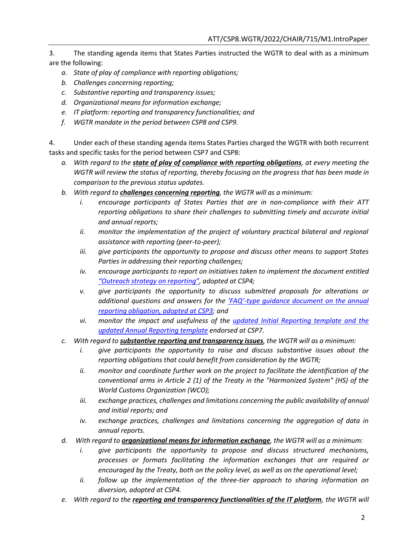3. The standing agenda items that States Parties instructed the WGTR to deal with as a minimum are the following:

- *a. State of play of compliance with reporting obligations;*
- *b. Challenges concerning reporting;*
- *c. Substantive reporting and transparency issues;*
- *d. Organizational means for information exchange;*
- *e. IT platform: reporting and transparency functionalities; and*
- *f. WGTR mandate in the period between CSP8 and CSP9.*

4. Under each of these standing agenda items States Parties charged the WGTR with both recurrent tasks and specific tasks for the period between CSP7 and CSP8:

- *a. With regard to the state of play of compliance with reporting obligations, at every meeting the WGTR will review the status of reporting, thereby focusing on the progress that has been made in comparison to the previous status updates.*
- *b. With regard to challenges concerning reporting, the WGTR will as a minimum:*
	- *i. encourage participants of States Parties that are in non-compliance with their ATT reporting obligations to share their challenges to submitting timely and accurate initial and annual reports;*
	- *ii. monitor the implementation of the project of voluntary practical bilateral and regional assistance with reporting (peer-to-peer);*
	- *iii. give participants the opportunity to propose and discuss other means to support States Parties in addressing their reporting challenges;*
	- *iv. encourage participants to report on initiatives taken to implement the document entitled "Outreach [strategy on](https://thearmstradetreaty.org/hyper-images/file/ATT_CSP4_WGTR_Co-chairs_report__EN1/ATT_CSP4_WGTR_Co-chairs_report__EN.pdf) reporting", adopted at CSP4;*
	- *v. give participants the opportunity to discuss submitted proposals for alterations or additional questions and answers for the 'FAQ'[-type guidance document on the annual](https://www.thearmstradetreaty.org/hyper-images/file/ATT_CSP5_WGTR_Guide%20to%20Reporting%20(Annex%20B%20to%20WGTR%20Report%20to%20CSP5)/ATT_CSP5_WGTR_Guide%20to%20Reporting%20(Annex%20B%20to%20WGTR%20Report%20to%20CSP5).pdf?templateId=1280266) reporting [obligation, adopted at CSP3;](https://www.thearmstradetreaty.org/hyper-images/file/ATT_CSP5_WGTR_Guide%20to%20Reporting%20(Annex%20B%20to%20WGTR%20Report%20to%20CSP5)/ATT_CSP5_WGTR_Guide%20to%20Reporting%20(Annex%20B%20to%20WGTR%20Report%20to%20CSP5).pdf?templateId=1280266) and*
	- *vi. monitor the impact and usefulness of the [updated Initial Reporting template and the](https://thearmstradetreaty.org/reporting.html)  [updated Annual Reporting template](https://thearmstradetreaty.org/reporting.html) endorsed at CSP7.*
- *c. With regard to substantive reporting and transparency issues, the WGTR will as a minimum:*
	- *i. give participants the opportunity to raise and discuss substantive issues about the reporting obligations that could benefit from consideration by the WGTR;*
	- *ii. monitor and coordinate further work on the project to facilitate the identification of the conventional arms in Article 2 (1) of the Treaty in the "Harmonized System" (HS) of the World Customs Organization (WCO);*
	- *iii. exchange practices, challenges and limitations concerning the public availability of annual and initial reports; and*
	- *iv. exchange practices, challenges and limitations concerning the aggregation of data in annual reports.*
- *d. With regard to organizational means for information exchange, the WGTR will as a minimum:*
	- *i. give participants the opportunity to propose and discuss structured mechanisms, processes or formats facilitating the information exchanges that are required or encouraged by the Treaty, both on the policy level, as well as on the operational level;*
	- *ii. follow up the implementation of the three-tier approach to sharing information on diversion, adopted at CSP4.*
- *e. With regard to the reporting and transparency functionalities of the IT platform, the WGTR will*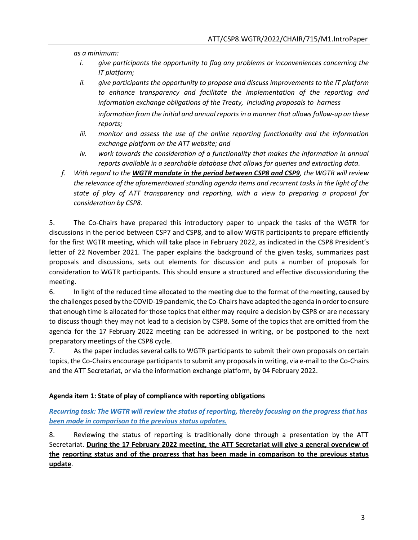*as a minimum:*

- *i. give participants the opportunity to flag any problems or inconveniences concerning the IT platform;*
- *ii. give participants the opportunity to propose and discuss improvements to the IT platform to enhance transparency and facilitate the implementation of the reporting and information exchange obligations of the Treaty, including proposals to harness information from the initial and annual reports in a manner that allows follow-up on these reports;*
- *iii. monitor and assess the use of the online reporting functionality and the information exchange platform on the ATT website; and*
- *iv. work towards the consideration of a functionality that makes the information in annual reports available in a searchable database that allows for queries and extracting data.*
- *f. With regard to the WGTR mandate in the period between CSP8 and CSP9, the WGTR will review*  the relevance of the aforementioned standing agenda items and recurrent tasks in the light of the *state of play of ATT transparency and reporting, with a view to preparing a proposal for consideration by CSP8.*

5. The Co-Chairs have prepared this introductory paper to unpack the tasks of the WGTR for discussions in the period between CSP7 and CSP8, and to allow WGTR participants to prepare efficiently for the first WGTR meeting, which will take place in February 2022, as indicated in the CSP8 President's letter of 22 November 2021. The paper explains the background of the given tasks, summarizes past proposals and discussions, sets out elements for discussion and puts a number of proposals for consideration to WGTR participants. This should ensure a structured and effective discussionduring the meeting.

6. In light of the reduced time allocated to the meeting due to the format of the meeting, caused by the challenges posed by the COVID-19 pandemic, the Co-Chairs have adapted the agenda in order to ensure that enough time is allocated for those topicsthat either may require a decision by CSP8 or are necessary to discuss though they may not lead to a decision by CSP8. Some of the topics that are omitted from the agenda for the 17 February 2022 meeting can be addressed in writing, or be postponed to the next preparatory meetings of the CSP8 cycle.

7. As the paper includes several calls to WGTR participants to submit their own proposals on certain topics, the Co-Chairs encourage participants to submit any proposals in writing, via e-mail to the Co-Chairs and the ATT Secretariat, or via the information exchange platform, by 04 February 2022.

### **Agenda item 1: State of play of compliance with reporting obligations**

*Recurring task: The WGTR will review the status of reporting, thereby focusing on the progress that has been made in comparison to the previous status updates.*

8. Reviewing the status of reporting is traditionally done through a presentation by the ATT Secretariat. **During the 17 February 2022 meeting, the ATT Secretariat will give a general overview of the reporting status and of the progress that has been made in comparison to the previous status update**.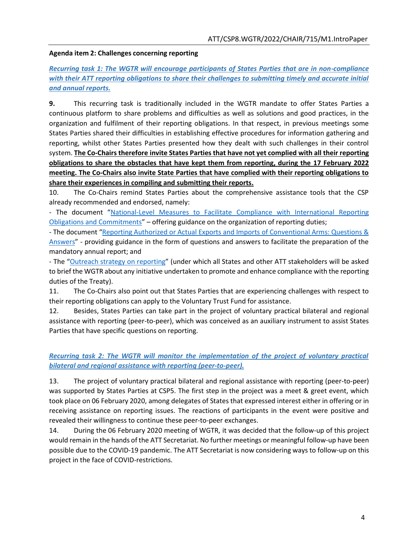#### **Agenda item 2: Challenges concerning reporting**

*Recurring task 1: The WGTR will encourage participants of States Parties that are in non-compliance with their ATT reporting obligations to share their challenges to submitting timely and accurate initial and annual reports.*

**9.** This recurring task is traditionally included in the WGTR mandate to offer States Parties a continuous platform to share problems and difficulties as well as solutions and good practices, in the organization and fulfilment of their reporting obligations. In that respect, in previous meetings some States Parties shared their difficulties in establishing effective procedures for information gathering and reporting, whilst other States Parties presented how they dealt with such challenges in their control system. **The Co-Chairs therefore invite States Parties that have not yet complied with all their reporting obligations to share the obstacles that have kept them from reporting, during the 17 February 2022 meeting. The Co-Chairs also invite State Parties that have complied with their reporting obligations to share their experiences in compiling and submitting their reports.**

10. The Co-Chairs remind States Parties about the comprehensive assistance tools that the CSP already recommended and endorsed, namely:

- The document "[National-Level](https://thearmstradetreaty.org/hyper-images/file/WGTR%20-%20National%20level%20measures%20(Annex%20B%20to%20WGTR%20Report%20to%20CSP3)%20-%20EN/WGTR%20-%20National%20level%20measures%20(Annex%20B%20to%20WGTR%20Report%20to%20CSP3)%20-%20EN.pdf?templateId=12) Measures to Facilitate Compliance with International Reporting Obligations and [Commitments](https://thearmstradetreaty.org/hyper-images/file/WGTR%20-%20National%20level%20measures%20(Annex%20B%20to%20WGTR%20Report%20to%20CSP3)%20-%20EN/WGTR%20-%20National%20level%20measures%20(Annex%20B%20to%20WGTR%20Report%20to%20CSP3)%20-%20EN.pdf?templateId=12)" – offering guidance on the organization of reporting duties;

- The document "Reporting Authorized or Actual Exports and Imports of [Conventional](https://thearmstradetreaty.org/hyper-images/file/ATT_CSP5_WGTR_Guide%20to%20Reporting%20(Annex%20B%20to%20WGTR%20Report%20to%20CSP5)/ATT_CSP5_WGTR_Guide%20to%20Reporting%20(Annex%20B%20to%20WGTR%20Report%20to%20CSP5).pdf?templateId=1280266) Arms: Questions & [Answers](https://thearmstradetreaty.org/hyper-images/file/ATT_CSP5_WGTR_Guide%20to%20Reporting%20(Annex%20B%20to%20WGTR%20Report%20to%20CSP5)/ATT_CSP5_WGTR_Guide%20to%20Reporting%20(Annex%20B%20to%20WGTR%20Report%20to%20CSP5).pdf?templateId=1280266)" - providing guidance in the form of questions and answers to facilitate the preparation of the mandatory annual report; and

- The "[Outreach strategy on reporting](https://thearmstradetreaty.org/hyper-images/file/ATT_CSP4_WGTR_Co-chairs_report__EN1/ATT_CSP4_WGTR_Co-chairs_report__EN.pdf)" (under which all States and other ATT stakeholders will be asked to brief the WGTR about any initiative undertaken to promote and enhance compliance with the reporting duties of the Treaty).

11. The Co-Chairs also point out that States Parties that are experiencing challenges with respect to their reporting obligations can apply to the Voluntary Trust Fund for assistance.

12. Besides, States Parties can take part in the project of voluntary practical bilateral and regional assistance with reporting (peer-to-peer), which was conceived as an auxiliary instrument to assist States Parties that have specific questions on reporting.

## *Recurring task 2: The WGTR will monitor the implementation of the project of voluntary practical bilateral and regional assistance with reporting (peer-to-peer).*

13. The project of voluntary practical bilateral and regional assistance with reporting (peer-to-peer) was supported by States Parties at CSP5. The first step in the project was a meet & greet event, which took place on 06 February 2020, among delegates of States that expressed interest either in offering or in receiving assistance on reporting issues. The reactions of participants in the event were positive and revealed their willingness to continue these peer-to-peer exchanges.

14. During the 06 February 2020 meeting of WGTR, it was decided that the follow-up of this project would remain in the hands of the ATT Secretariat. No further meetings or meaningful follow-up have been possible due to the COVID-19 pandemic. The ATT Secretariat is now considering ways to follow-up on this project in the face of COVID-restrictions.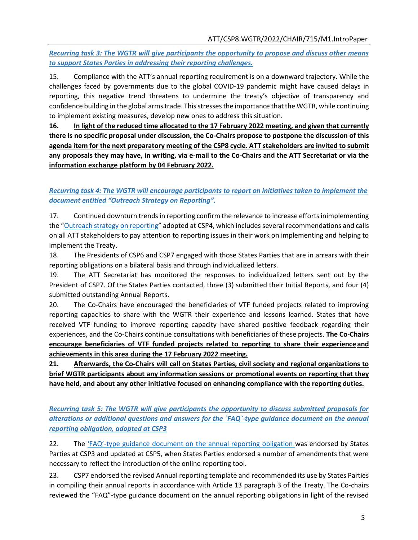*Recurring task 3: The WGTR will give participants the opportunity to propose and discuss other means to support States Parties in addressing their reporting challenges.*

15. Compliance with the ATT's annual reporting requirement is on a downward trajectory. While the challenges faced by governments due to the global COVID-19 pandemic might have caused delays in reporting, this negative trend threatens to undermine the treaty's objective of transparency and confidence building in the global arms trade. This stresses the importance that the WGTR, while continuing to implement existing measures, develop new ones to address this situation.

**16. In light of the reduced time allocated to the 17 February 2022 meeting, and given that currently there is no specific proposal under discussion, the Co-Chairs propose to postpone the discussion of this agenda item for the next preparatory meeting of the CSP8 cycle. ATT stakeholders are invited to submit any proposals they may have, in writing, via e-mail to the Co-Chairs and the ATT Secretariat or via the information exchange platform by 04 February 2022.**

# *Recurring task 4: The WGTR will encourage participants to report on initiatives taken to implement the document entitled "Outreach Strategy on Reporting".*

17. Continued downturn trendsin reporting confirm the relevance to increase effortsinimplementing the "Outreach strategy on [reporting](https://thearmstradetreaty.org/hyper-images/file/ATT_CSP4_WGTR_Co-chairs_report__EN1/ATT_CSP4_WGTR_Co-chairs_report__EN.pdf)" adopted at CSP4, which includes several recommendations and calls on all ATT stakeholders to pay attention to reporting issues in their work on implementing and helping to implement the Treaty.

18. The Presidents of CSP6 and CSP7 engaged with those States Parties that are in arrears with their reporting obligations on a bilateral basis and through individualized letters.

19. The ATT Secretariat has monitored the responses to individualized letters sent out by the President of CSP7. Of the States Parties contacted, three (3) submitted their Initial Reports, and four (4) submitted outstanding Annual Reports.

20. The Co-Chairs have encouraged the beneficiaries of VTF funded projects related to improving reporting capacities to share with the WGTR their experience and lessons learned. States that have received VTF funding to improve reporting capacity have shared positive feedback regarding their experiences, and the Co-Chairs continue consultations with beneficiaries of these projects. **The Co-Chairs encourage beneficiaries of VTF funded projects related to reporting to share their experience and achievements in this area during the 17 February 2022 meeting.**

**21. Afterwards, the Co-Chairs will call on States Parties, civil society and regional organizations to brief WGTR participants about any information sessions or promotional events on reporting that they have held, and about any other initiative focused on enhancing compliance with the reporting duties.**

*Recurring task 5: The WGTR will give participants the opportunity to discuss submitted proposals for alterations or additional questions and answers for the `FAQ`-type guidance document on the annual reporting obligation, adopted at CSP3*

22. The 'FAQ'[-type guidance document on the annual reporting obligation w](https://www.thearmstradetreaty.org/hyper-images/file/ATT_CSP5_WGTR_Guide%20to%20Reporting%20(Annex%20B%20to%20WGTR%20Report%20to%20CSP5)/ATT_CSP5_WGTR_Guide%20to%20Reporting%20(Annex%20B%20to%20WGTR%20Report%20to%20CSP5).pdf?templateId=1280266)as endorsed by States Parties at CSP3 and updated at CSP5, when States Parties endorsed a number of amendments that were necessary to reflect the introduction of the online reporting tool.

23. CSP7 endorsed the revised Annual reporting template and recommended its use by States Parties in compiling their annual reports in accordance with Article 13 paragraph 3 of the Treaty. The Co-chairs reviewed the "FAQ"-type guidance document on the annual reporting obligations in light of the revised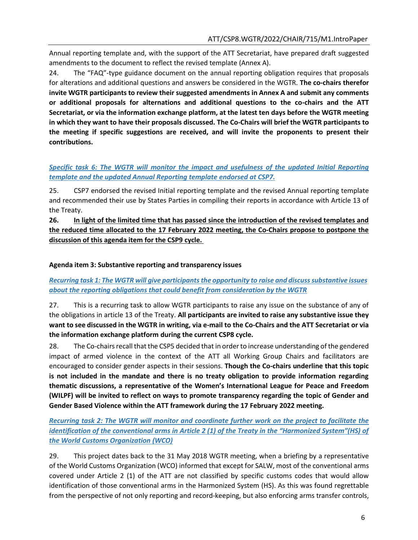Annual reporting template and, with the support of the ATT Secretariat, have prepared draft suggested amendments to the document to reflect the revised template (Annex A).

24. The "FAQ"-type guidance document on the annual reporting obligation requires that proposals for alterations and additional questions and answers be considered in the WGTR. **The co-chairs therefor invite WGTR participants to review their suggested amendments in Annex A and submit any comments or additional proposals for alternations and additional questions to the co-chairs and the ATT Secretariat, or via the information exchange platform, at the latest ten days before the WGTR meeting in which they want to have their proposals discussed. The Co-Chairs will brief the WGTR participants to the meeting if specific suggestions are received, and will invite the proponents to present their contributions.**

## *Specific task 6: The WGTR will monitor the impact and usefulness of the [updated Initial Reporting](https://thearmstradetreaty.org/reporting.html)  [template and the updated Annual Reporting template](https://thearmstradetreaty.org/reporting.html) endorsed at CSP7.*

25. CSP7 endorsed the revised Initial reporting template and the revised Annual reporting template and recommended their use by States Parties in compiling their reports in accordance with Article 13 of the Treaty.

**26. In light of the limited time that has passed since the introduction of the revised templates and the reduced time allocated to the 17 February 2022 meeting, the Co-Chairs propose to postpone the discussion of this agenda item for the CSP9 cycle.** 

### **Agenda item 3: Substantive reporting and transparency issues**

# *Recurring task 1: The WGTR will give participantsthe opportunity to raise and discusssubstantive issues about the reporting obligations that could benefit from consideration by the WGTR*

27. This is a recurring task to allow WGTR participants to raise any issue on the substance of any of the obligations in article 13 of the Treaty. **All participants are invited to raise any substantive issue they want to see discussed in the WGTR in writing, via e-mail to the Co-Chairs and the ATT Secretariat or via the information exchange platform during the current CSP8 cycle.**

28. The Co-chairs recall that the CSP5 decided that in order to increase understanding of the gendered impact of armed violence in the context of the ATT all Working Group Chairs and facilitators are encouraged to consider gender aspects in their sessions. **Though the Co-chairs underline that this topic is not included in the mandate and there is no treaty obligation to provide information regarding thematic discussions, a representative of the Women's International League for Peace and Freedom (WILPF) will be invited to reflect on ways to promote transparency regarding the topic of Gender and Gender Based Violence within the ATT framework during the 17 February 2022 meeting.** 

*Recurring task 2: The WGTR will monitor and coordinate further work on the project to facilitate the identification of the conventional arms in Article 2 (1) of the Treaty in the "Harmonized System"(HS) of the World Customs Organization (WCO)*

29. This project dates back to the 31 May 2018 WGTR meeting, when a briefing by a representative of the World Customs Organization (WCO) informed that except for SALW, most of the conventional arms covered under Article 2 (1) of the ATT are not classified by specific customs codes that would allow identification of those conventional arms in the Harmonized System (HS). As this was found regrettable from the perspective of not only reporting and record-keeping, but also enforcing arms transfer controls,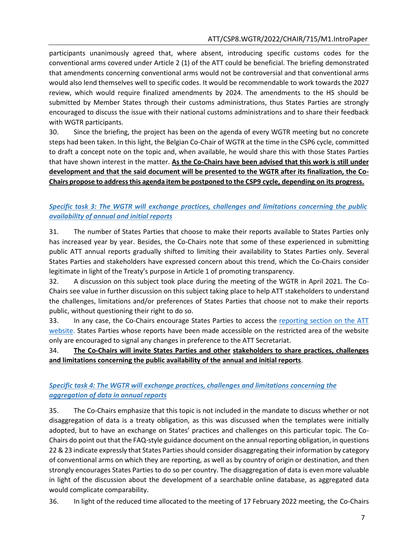participants unanimously agreed that, where absent, introducing specific customs codes for the conventional arms covered under Article 2 (1) of the ATT could be beneficial. The briefing demonstrated that amendments concerning conventional arms would not be controversial and that conventional arms would also lend themselves well to specific codes. It would be recommendable to work towards the 2027 review, which would require finalized amendments by 2024. The amendments to the HS should be submitted by Member States through their customs administrations, thus States Parties are strongly encouraged to discuss the issue with their national customs administrations and to share their feedback with WGTR participants.

30. Since the briefing, the project has been on the agenda of every WGTR meeting but no concrete steps had been taken. In this light, the Belgian Co-Chair of WGTR at the time in the CSP6 cycle, committed to draft a concept note on the topic and, when available, he would share this with those States Parties that have shown interest in the matter. **As the Co-Chairs have been advised that this work is still under development and that the said document will be presented to the WGTR after its finalization, the Co-Chairs propose to addressthis agenda item be postponed to the CSP9 cycle, depending on its progress.**

### *Specific task 3: The WGTR will exchange practices, challenges and limitations concerning the public availability of annual and initial reports*

31. The number of States Parties that choose to make their reports available to States Parties only has increased year by year. Besides, the Co-Chairs note that some of these experienced in submitting public ATT annual reports gradually shifted to limiting their availability to States Parties only. Several States Parties and stakeholders have expressed concern about this trend, which the Co-Chairs consider legitimate in light of the Treaty's purpose in Article 1 of promoting transparency.

32. A discussion on this subject took place during the meeting of the WGTR in April 2021. The Co-Chairs see value in further discussion on this subject taking place to help ATT stakeholders to understand the challenges, limitations and/or preferences of States Parties that choose not to make their reports public, without questioning their right to do so.

33. In any case, the Co-Chairs encourage States Parties to access the [reporting section on the ATT](https://thearmstradetreaty.org/annual-reports.html?templateId=209826) [website. States Parties whose reports have been made accessible on the restricted area of the website](https://thearmstradetreaty.org/annual-reports.html?templateId=209826)  [only are encouraged to signal any changes in preference to the ATT Secretariat.](https://thearmstradetreaty.org/annual-reports.html?templateId=209826)

### 34. **The Co-Chairs will invite States Parties and other stakeholders to share practices, challenges and limitations concerning the public availability of the annual and initial reports**.

# *Specific task 4: The WGTR will exchange practices, challenges and limitations concerning the aggregation of data in annual reports*

35. The Co-Chairs emphasize that this topic is not included in the mandate to discuss whether or not disaggregation of data is a treaty obligation, as this was discussed when the templates were initially adopted, but to have an exchange on States' practices and challenges on this particular topic. The Co-Chairs do point out that the FAQ-style guidance document on the annual reporting obligation, in questions 22 & 23 indicate expressly that States Parties should consider disaggregating their information by category of conventional arms on which they are reporting, as well as by country of origin or destination, and then strongly encourages States Parties to do so per country. The disaggregation of data is even more valuable in light of the discussion about the development of a searchable online database, as aggregated data would complicate comparability.

36. In light of the reduced time allocated to the meeting of 17 February 2022 meeting, the Co-Chairs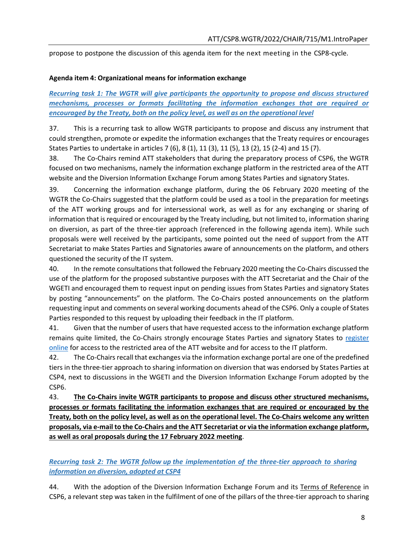propose to postpone the discussion of this agenda item for the next meeting in the CSP8-cycle.

#### **Agenda item 4: Organizational means for information exchange**

*Recurring task 1: The WGTR will give participants the opportunity to propose and discuss structured mechanisms, processes or formats facilitating the information exchanges that are required or encouraged by the Treaty, both on the policy level, as well as on the operational level*

37. This is a recurring task to allow WGTR participants to propose and discuss any instrument that could strengthen, promote or expedite the information exchanges that the Treaty requires or encourages States Parties to undertake in articles 7 (6), 8 (1), 11 (3), 11 (5), 13 (2), 15 (2-4) and 15 (7).

38. The Co-Chairs remind ATT stakeholders that during the preparatory process of CSP6, the WGTR focused on two mechanisms, namely the information exchange platform in the restricted area of the ATT website and the Diversion Information Exchange Forum among States Parties and signatory States.

39. Concerning the information exchange platform, during the 06 February 2020 meeting of the WGTR the Co-Chairs suggested that the platform could be used as a tool in the preparation for meetings of the ATT working groups and for intersessional work, as well as for any exchanging or sharing of information that is required or encouraged by the Treaty including, but not limited to, information sharing on diversion, as part of the three-tier approach (referenced in the following agenda item). While such proposals were well received by the participants, some pointed out the need of support from the ATT Secretariat to make States Parties and Signatories aware of announcements on the platform, and others questioned the security of the IT system.

40. In the remote consultations that followed the February 2020 meeting the Co-Chairs discussed the use of the platform for the proposed substantive purposes with the ATT Secretariat and the Chair of the WGETI and encouraged them to request input on pending issues from States Parties and signatory States by posting "announcements" on the platform. The Co-Chairs posted announcements on the platform requesting input and comments on several working documents ahead of the CSP6. Only a couple of States Parties responded to this request by uploading their feedback in the IT platform.

41. Given that the number of users that have requested access to the information exchange platform remains quite limited, the Co-Chairs strongly encourage States Parties and signatory States to [register](https://www.thearmstradetreaty.org/registration-to-portal.html) [online](https://www.thearmstradetreaty.org/registration-to-portal.html) for access to the restricted area of the ATT website and for access to the IT platform.

42. The Co-Chairs recall that exchanges via the information exchange portal are one of the predefined tiers in the three-tier approach to sharing information on diversion that was endorsed by States Parties at CSP4, next to discussions in the WGETI and the Diversion Information Exchange Forum adopted by the CSP6.

43. **The Co-Chairs invite WGTR participants to propose and discuss other structured mechanisms, processes or formats facilitating the information exchanges that are required or encouraged by the** Treaty, both on the policy level, as well as on the operational level. The Co-Chairs welcome any written **proposals, via e-mail to the Co-Chairs and the ATT Secretariat or via the information exchange platform, as well as oral proposals during the 17 February 2022 meeting**.

## *Recurring task 2: The WGTR follow up the implementation of the three-tier approach to sharing information on diversion, adopted at CSP4*

44. With the adoption of the Diversion Information Exchange Forum and its [Terms of Reference](https://thearmstradetreaty.org/hyper-images/file/ATT_DIEF%20Terms%20of%20Reference%20(stand%20alone)_EN/ATT_DIEF%20Terms%20of%20Reference%20(stand%20alone)_EN.pdf) in CSP6, a relevant step was taken in the fulfilment of one of the pillars of the three-tier approach to sharing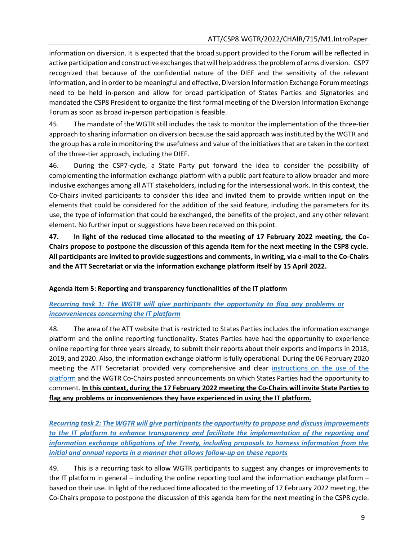information on diversion. It is expected that the broad support provided to the Forum will be reflected in active participation and constructive exchanges that will help address the problem of arms diversion. CSP7 recognized that because of the confidential nature of the DIEF and the sensitivity of the relevant information, and in order to be meaningful and effective, Diversion Information Exchange Forum meetings need to be held in-person and allow for broad participation of States Parties and Signatories and mandated the CSP8 President to organize the first formal meeting of the Diversion Information Exchange Forum as soon as broad in-person participation is feasible.

45. The mandate of the WGTR still includes the task to monitor the implementation of the three-tier approach to sharing information on diversion because the said approach was instituted by the WGTR and the group has a role in monitoring the usefulness and value of the initiatives that are taken in the context of the three-tier approach, including the DIEF.

46. During the CSP7-cycle, a State Party put forward the idea to consider the possibility of complementing the information exchange platform with a public part feature to allow broader and more inclusive exchanges among all ATT stakeholders, including for the intersessional work. In this context, the Co-Chairs invited participants to consider this idea and invited them to provide written input on the elements that could be considered for the addition of the said feature, including the parameters for its use, the type of information that could be exchanged, the benefits of the project, and any other relevant element. No further input or suggestions have been received on this point.

**47. In light of the reduced time allocated to the meeting of 17 February 2022 meeting, the Co-Chairs propose to postpone the discussion of this agenda item for the next meeting in the CSP8 cycle. All participants are invited to provide suggestions and comments, in writing, via e-mail to the Co-Chairs and the ATT Secretariat or via the information exchange platform itself by 15 April 2022.**

### **Agenda item 5: Reporting and transparency functionalities of the IT platform**

### *Recurring task 1: The WGTR will give participants the opportunity to flag any problems or inconveniences concerning the IT platform*

48. The area of the ATT website that is restricted to States Parties includes the information exchange platform and the online reporting functionality. States Parties have had the opportunity to experience online reporting for three years already, to submit their reports about their exports and imports in 2018, 2019, and 2020. Also, the information exchange platform is fully operational. During the 06 February 2020 meeting the ATT Secretariat provided very comprehensive and clear [instructions on the use of the](https://thearmstradetreaty.org/hyper-images/file/ATTS%20-%20Guidance%20for%20the%20Information%20Exchange%20Platform%20(16%20January%202020)-compressed/ATTS%20-%20Guidance%20for%20the%20Information%20Exchange%20Platform%20(16%20January%202020)-compressed.pdf) [platform](https://thearmstradetreaty.org/hyper-images/file/ATTS%20-%20Guidance%20for%20the%20Information%20Exchange%20Platform%20(16%20January%202020)-compressed/ATTS%20-%20Guidance%20for%20the%20Information%20Exchange%20Platform%20(16%20January%202020)-compressed.pdf) and the WGTR Co-Chairs posted announcements on which States Parties had the opportunity to comment. **In this context, during the 17 February 2022 meeting the Co-Chairs will invite State Parties to flag any problems or inconveniences they have experienced in using the IT platform.**

*Recurring task 2: The WGTR will give participantsthe opportunity to propose and discussimprovements to the IT platform to enhance transparency and facilitate the implementation of the reporting and information exchange obligations of the Treaty, including proposals to harness information from the initial and annual reports in a manner that allows follow-up on these reports*

49. This is a recurring task to allow WGTR participants to suggest any changes or improvements to the IT platform in general – including the online reporting tool and the information exchange platform – based on their use. In light of the reduced time allocated to the meeting of 17 February 2022 meeting, the Co-Chairs propose to postpone the discussion of this agenda item for the next meeting in the CSP8 cycle.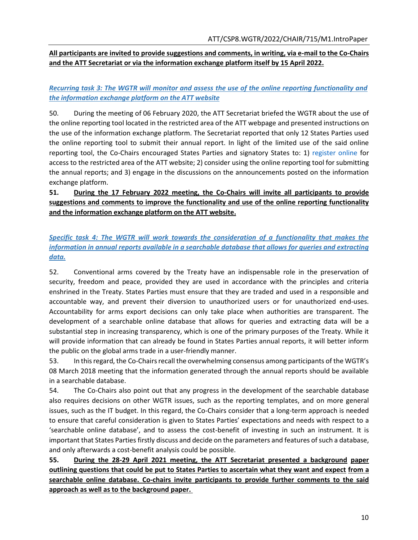## **All participants are invited to provide suggestions and comments, in writing, via e-mail to the Co-Chairs and the ATT Secretariat or via the information exchange platform itself by 15 April 2022.**

# *Recurring task 3: The WGTR will monitor and assess the use of the online reporting functionality and the information exchange platform on the ATT website*

50. During the meeting of 06 February 2020, the ATT Secretariat briefed the WGTR about the use of the online reporting tool located in the restricted area of the ATT webpage and presented instructions on the use of the information exchange platform. The Secretariat reported that only 12 States Parties used the online reporting tool to submit their annual report. In light of the limited use of the said online reporting tool, the Co-Chairs encouraged States Parties and signatory States to: 1) [register online](https://www.thearmstradetreaty.org/registration-to-portal.html) for access to the restricted area of the ATT website; 2) consider using the online reporting tool for submitting the annual reports; and 3) engage in the discussions on the announcements posted on the information exchange platform.

# **51. During the 17 February 2022 meeting, the Co-Chairs will invite all participants to provide suggestions and comments to improve the functionality and use of the online reporting functionality and the information exchange platform on the ATT website.**

# *Specific task 4: The WGTR will work towards the consideration of a functionality that makes the information in annual reports available in a searchable database that allows for queries and extracting data.*

52. Conventional arms covered by the Treaty have an indispensable role in the preservation of security, freedom and peace, provided they are used in accordance with the principles and criteria enshrined in the Treaty. States Parties must ensure that they are traded and used in a responsible and accountable way, and prevent their diversion to unauthorized users or for unauthorized end-uses. Accountability for arms export decisions can only take place when authorities are transparent. The development of a searchable online database that allows for queries and extracting data will be a substantial step in increasing transparency, which is one of the primary purposes of the Treaty. While it will provide information that can already be found in States Parties annual reports, it will better inform the public on the global arms trade in a user-friendly manner.

53. In this regard, the Co-Chairs recall the overwhelming consensus among participants of the WGTR's 08 March 2018 meeting that the information generated through the annual reports should be available in a searchable database.

54. The Co-Chairs also point out that any progress in the development of the searchable database also requires decisions on other WGTR issues, such as the reporting templates, and on more general issues, such as the IT budget. In this regard, the Co-Chairs consider that a long-term approach is needed to ensure that careful consideration is given to States Parties' expectations and needs with respect to a 'searchable online database', and to assess the cost-benefit of investing in such an instrument. It is important that States Parties firstly discuss and decide on the parameters and features of such a database, and only afterwards a cost-benefit analysis could be possible.

**55. During the 28-29 April 2021 meeting, the ATT Secretariat presented a background paper outlining questions that could be put to States Parties to ascertain what they want and expect from a searchable online database. Co-chairs invite participants to provide further comments to the said approach as well as to the background paper.**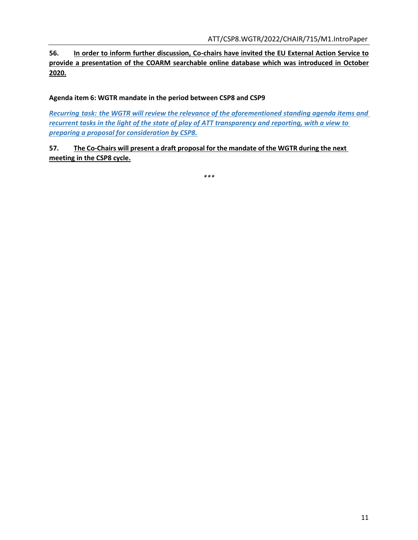**56. In order to inform further discussion, Co-chairs have invited the EU External Action Service to provide a presentation of the COARM [searchable online database](https://webgate.ec.europa.eu/eeasqap/sense/app/75fd8e6e-68ac-42dd-a078-f616633118bb/sheet/ccf79d7b-1f25-4976-bad8-da886dba3654/state/analysis) which was introduced in October 2020.**

**Agenda item 6: WGTR mandate in the period between CSP8 and CSP9**

*Recurring task: the WGTR will review the relevance of the aforementioned standing agenda items and recurrent tasks in the light of the state of play of ATT transparency and reporting, with a view to preparing a proposal for consideration by CSP8.*

**57. The Co-Chairs will present a draft proposal for the mandate of the WGTR during the next meeting in the CSP8 cycle.**

*\*\*\**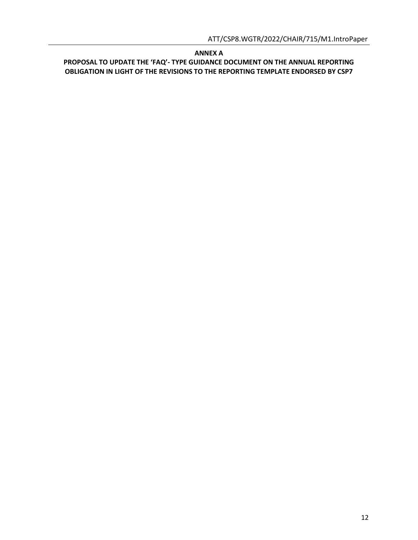#### **ANNEX A**

**PROPOSAL TO UPDATE THE 'FAQ'- TYPE GUIDANCE DOCUMENT ON THE ANNUAL REPORTING OBLIGATION IN LIGHT OF THE REVISIONS TO THE REPORTING TEMPLATE ENDORSED BY CSP7**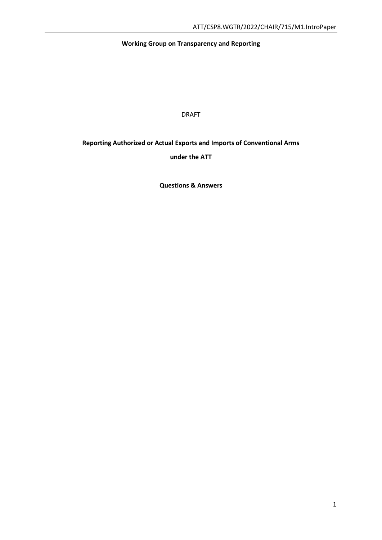# **Working Group on Transparency and Reporting**

DRAFT

# **Reporting Authorized or Actual Exports and Imports of Conventional Arms**

**under the ATT**

**Questions & Answers**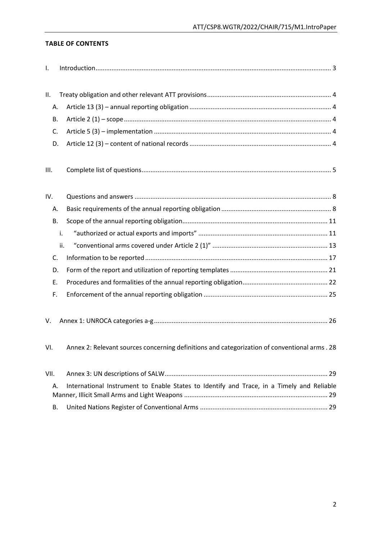### **TABLE OF CONTENTS**

| Τ.   |                                                                                               |
|------|-----------------------------------------------------------------------------------------------|
|      |                                                                                               |
| ΙΙ.  |                                                                                               |
| Α.   |                                                                                               |
| В.   |                                                                                               |
| C.   |                                                                                               |
| D.   |                                                                                               |
|      |                                                                                               |
| III. |                                                                                               |
|      |                                                                                               |
| IV.  |                                                                                               |
| А.   |                                                                                               |
| В.   |                                                                                               |
|      | i.                                                                                            |
|      | ii.                                                                                           |
| C.   |                                                                                               |
| D.   |                                                                                               |
| Ε.   |                                                                                               |
| F.   |                                                                                               |
|      |                                                                                               |
| V.   |                                                                                               |
|      |                                                                                               |
| VI.  | Annex 2: Relevant sources concerning definitions and categorization of conventional arms . 28 |
|      |                                                                                               |
| VII. |                                                                                               |
| А.   | International Instrument to Enable States to Identify and Trace, in a Timely and Reliable     |
|      |                                                                                               |
| В.   |                                                                                               |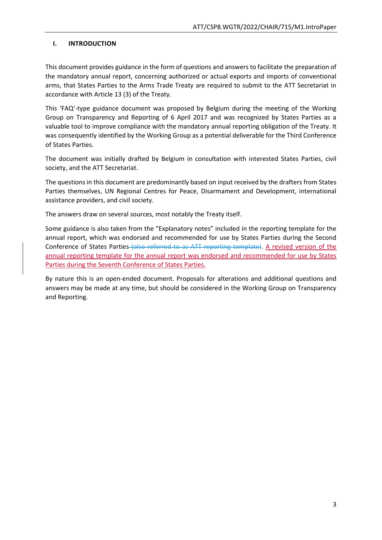# <span id="page-14-0"></span>**I. INTRODUCTION**

This document provides guidance in the form of questions and answers to facilitate the preparation of the mandatory annual report, concerning authorized or actual exports and imports of conventional arms, that States Parties to the Arms Trade Treaty are required to submit to the ATT Secretariat in accordance with Article 13 (3) of the Treaty.

This 'FAQ'-type guidance document was proposed by Belgium during the meeting of the Working Group on Transparency and Reporting of 6 April 2017 and was recognized by States Parties as a valuable tool to improve compliance with the mandatory annual reporting obligation of the Treaty. It was consequently identified by the Working Group as a potential deliverable for the Third Conference of States Parties.

The document was initially drafted by Belgium in consultation with interested States Parties, civil society, and the ATT Secretariat.

The questions in this document are predominantly based on input received by the drafters from States Parties themselves, UN Regional Centres for Peace, Disarmament and Development, international assistance providers, and civil society.

The answers draw on several sources, most notably the Treaty itself.

Some guidance is also taken from the "Explanatory notes" included in the reporting template for the annual report, which was endorsed and recommended for use by States Parties during the Second Conference of States Parties (also referred to as ATT reporting template). A revised version of the annual reporting template for the annual report was endorsed and recommended for use by States Parties during the Seventh Conference of States Parties.

By nature this is an open-ended document. Proposals for alterations and additional questions and answers may be made at any time, but should be considered in the Working Group on Transparency and Reporting.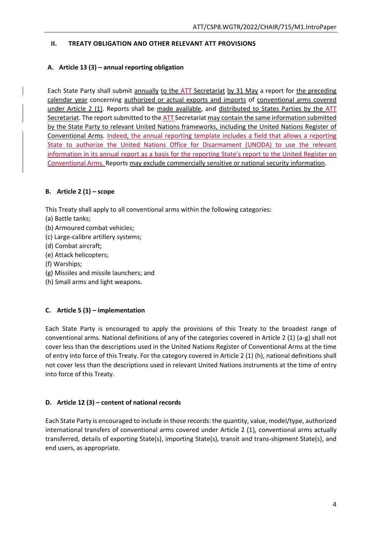### <span id="page-15-0"></span>**II. TREATY OBLIGATION AND OTHER RELEVANT ATT PROVISIONS**

# <span id="page-15-1"></span>**A. Article 13 (3) – annual reporting obligation**

Each State Party shall submit annually to the ATT Secretariat by 31 May a report for the preceding calendar year concerning authorized or actual exports and imports of conventional arms covered under Article 2 (1). Reports shall be made available, and distributed to States Parties by the ATT Secretariat. The report submitted to the ATT Secretariat may contain the same information submitted by the State Party to relevant United Nations frameworks, including the United Nations Register of Conventional Arms. Indeed, the annual reporting template includes a field that allows a reporting State to authorize the United Nations Office for Disarmament (UNODA) to use the relevant information in its annual report as a basis for the reporting State's report to the United Register on Conventional Arms. Reports may exclude commercially sensitive or national security information.

# <span id="page-15-2"></span>**B. Article 2 (1) – scope**

This Treaty shall apply to all conventional arms within the following categories:

- (a) Battle tanks;
- (b) Armoured combat vehicles;
- (c) Large-calibre artillery systems;
- (d) Combat aircraft;
- (e) Attack helicopters;
- (f) Warships;
- (g) Missiles and missile launchers; and
- (h) Small arms and light weapons.

### <span id="page-15-3"></span>**C. Article 5 (3) – implementation**

Each State Party is encouraged to apply the provisions of this Treaty to the broadest range of conventional arms. National definitions of any of the categories covered in Article 2 (1) (a-g) shall not cover less than the descriptions used in the United Nations Register of Conventional Arms at the time of entry into force of this Treaty. For the category covered in Article 2 (1) (h), national definitions shall not cover less than the descriptions used in relevant United Nations instruments at the time of entry into force of this Treaty.

### <span id="page-15-4"></span>**D. Article 12 (3) – content of national records**

Each State Party is encouraged to include in those records: the quantity, value, model/type, authorized international transfers of conventional arms covered under Article 2 (1), conventional arms actually transferred, details of exporting State(s), importing State(s), transit and trans-shipment State(s), and end users, as appropriate.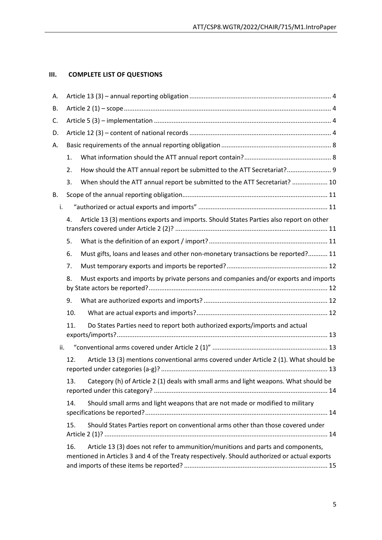# <span id="page-16-0"></span>**III. COMPLETE LIST OF QUESTIONS**

| А.  |                                                                                            |                                                                                                                                                                                  |  |  |  |
|-----|--------------------------------------------------------------------------------------------|----------------------------------------------------------------------------------------------------------------------------------------------------------------------------------|--|--|--|
| В.  |                                                                                            |                                                                                                                                                                                  |  |  |  |
| C.  |                                                                                            |                                                                                                                                                                                  |  |  |  |
| D.  |                                                                                            |                                                                                                                                                                                  |  |  |  |
| Α.  |                                                                                            |                                                                                                                                                                                  |  |  |  |
|     | 1.                                                                                         |                                                                                                                                                                                  |  |  |  |
|     | 2.                                                                                         | How should the ATT annual report be submitted to the ATT Secretariat? 9                                                                                                          |  |  |  |
|     | 3.                                                                                         | When should the ATT annual report be submitted to the ATT Secretariat?  10                                                                                                       |  |  |  |
| В.  |                                                                                            |                                                                                                                                                                                  |  |  |  |
| i.  |                                                                                            |                                                                                                                                                                                  |  |  |  |
|     | 4.                                                                                         | Article 13 (3) mentions exports and imports. Should States Parties also report on other                                                                                          |  |  |  |
|     | 5.                                                                                         |                                                                                                                                                                                  |  |  |  |
|     | 6.                                                                                         | Must gifts, loans and leases and other non-monetary transactions be reported? 11                                                                                                 |  |  |  |
|     | 7.                                                                                         |                                                                                                                                                                                  |  |  |  |
|     | Must exports and imports by private persons and companies and/or exports and imports<br>8. |                                                                                                                                                                                  |  |  |  |
|     | 9.                                                                                         |                                                                                                                                                                                  |  |  |  |
|     | 10.                                                                                        |                                                                                                                                                                                  |  |  |  |
|     | 11.                                                                                        | Do States Parties need to report both authorized exports/imports and actual                                                                                                      |  |  |  |
| ii. |                                                                                            |                                                                                                                                                                                  |  |  |  |
|     | 12.                                                                                        | Article 13 (3) mentions conventional arms covered under Article 2 (1). What should be                                                                                            |  |  |  |
|     | 13.                                                                                        | Category (h) of Article 2 (1) deals with small arms and light weapons. What should be                                                                                            |  |  |  |
|     | 14.                                                                                        | Should small arms and light weapons that are not made or modified to military                                                                                                    |  |  |  |
|     | 15.                                                                                        | Should States Parties report on conventional arms other than those covered under                                                                                                 |  |  |  |
|     | 16.                                                                                        | Article 13 (3) does not refer to ammunition/munitions and parts and components,<br>mentioned in Articles 3 and 4 of the Treaty respectively. Should authorized or actual exports |  |  |  |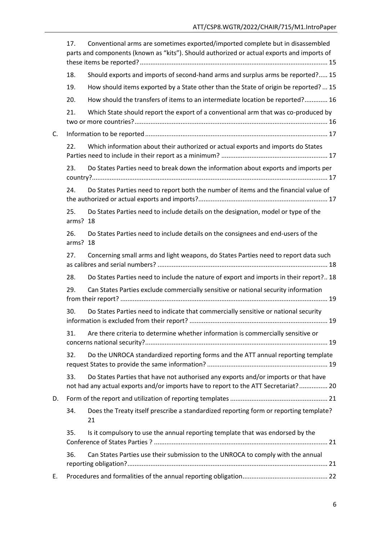|    | 17.             | Conventional arms are sometimes exported/imported complete but in disassembled<br>parts and components (known as "kits"). Should authorized or actual exports and imports of |  |  |  |  |  |
|----|-----------------|------------------------------------------------------------------------------------------------------------------------------------------------------------------------------|--|--|--|--|--|
|    | 18.             | Should exports and imports of second-hand arms and surplus arms be reported? 15                                                                                              |  |  |  |  |  |
|    | 19.             | How should items exported by a State other than the State of origin be reported?  15                                                                                         |  |  |  |  |  |
|    | 20.             | How should the transfers of items to an intermediate location be reported? 16                                                                                                |  |  |  |  |  |
|    | 21.             | Which State should report the export of a conventional arm that was co-produced by                                                                                           |  |  |  |  |  |
| C. |                 |                                                                                                                                                                              |  |  |  |  |  |
|    | 22.             | Which information about their authorized or actual exports and imports do States                                                                                             |  |  |  |  |  |
|    | 23.             | Do States Parties need to break down the information about exports and imports per                                                                                           |  |  |  |  |  |
|    | 24.             | Do States Parties need to report both the number of items and the financial value of                                                                                         |  |  |  |  |  |
|    | 25.<br>arms? 18 | Do States Parties need to include details on the designation, model or type of the                                                                                           |  |  |  |  |  |
|    | 26.<br>arms? 18 | Do States Parties need to include details on the consignees and end-users of the                                                                                             |  |  |  |  |  |
|    | 27.             | Concerning small arms and light weapons, do States Parties need to report data such                                                                                          |  |  |  |  |  |
|    | 28.             | Do States Parties need to include the nature of export and imports in their report? 18                                                                                       |  |  |  |  |  |
|    | 29.             | Can States Parties exclude commercially sensitive or national security information                                                                                           |  |  |  |  |  |
|    | 30.             | Do States Parties need to indicate that commercially sensitive or national security                                                                                          |  |  |  |  |  |
|    | 31.             | Are there criteria to determine whether information is commercially sensitive or                                                                                             |  |  |  |  |  |
|    | 32.             | Do the UNROCA standardized reporting forms and the ATT annual reporting template                                                                                             |  |  |  |  |  |
|    | 33.             | Do States Parties that have not authorised any exports and/or imports or that have<br>not had any actual exports and/or imports have to report to the ATT Secretariat? 20    |  |  |  |  |  |
| D. |                 |                                                                                                                                                                              |  |  |  |  |  |
|    | 34.             | Does the Treaty itself prescribe a standardized reporting form or reporting template?<br>21                                                                                  |  |  |  |  |  |
|    | 35.             | Is it compulsory to use the annual reporting template that was endorsed by the                                                                                               |  |  |  |  |  |
|    | 36.             | Can States Parties use their submission to the UNROCA to comply with the annual                                                                                              |  |  |  |  |  |
| Е. |                 |                                                                                                                                                                              |  |  |  |  |  |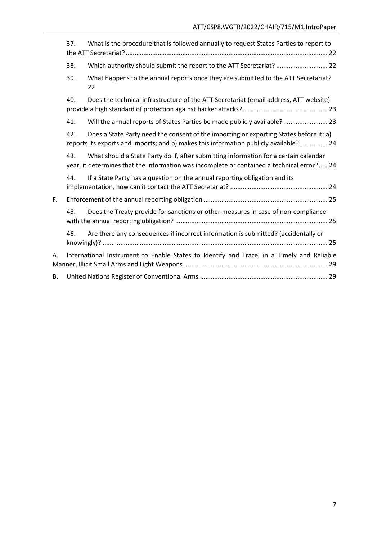|    | 37.                                                                                       | What is the procedure that is followed annually to request States Parties to report to                                                                                             |  |  |  |
|----|-------------------------------------------------------------------------------------------|------------------------------------------------------------------------------------------------------------------------------------------------------------------------------------|--|--|--|
|    | 38.                                                                                       | Which authority should submit the report to the ATT Secretariat?  22                                                                                                               |  |  |  |
|    | 39.                                                                                       | What happens to the annual reports once they are submitted to the ATT Secretariat?<br>22                                                                                           |  |  |  |
|    | 40.                                                                                       | Does the technical infrastructure of the ATT Secretariat (email address, ATT website)                                                                                              |  |  |  |
|    | 41.                                                                                       | Will the annual reports of States Parties be made publicly available? 23                                                                                                           |  |  |  |
|    | 42.                                                                                       | Does a State Party need the consent of the importing or exporting States before it: a)<br>reports its exports and imports; and b) makes this information publicly available? 24    |  |  |  |
|    | 43.                                                                                       | What should a State Party do if, after submitting information for a certain calendar<br>year, it determines that the information was incomplete or contained a technical error? 24 |  |  |  |
|    | 44.                                                                                       | If a State Party has a question on the annual reporting obligation and its                                                                                                         |  |  |  |
| F. |                                                                                           |                                                                                                                                                                                    |  |  |  |
|    | 45.                                                                                       | Does the Treaty provide for sanctions or other measures in case of non-compliance                                                                                                  |  |  |  |
|    | 46.                                                                                       | Are there any consequences if incorrect information is submitted? (accidentally or                                                                                                 |  |  |  |
| А. | International Instrument to Enable States to Identify and Trace, in a Timely and Reliable |                                                                                                                                                                                    |  |  |  |
| В. |                                                                                           |                                                                                                                                                                                    |  |  |  |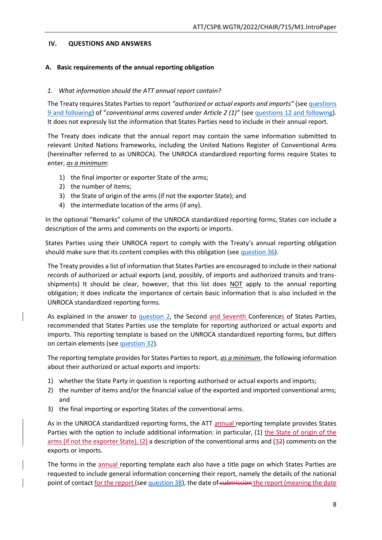### <span id="page-19-0"></span>**IV. QUESTIONS AND ANSWERS**

### <span id="page-19-1"></span>**A. Basic requirements of the annual reporting obligation**

#### <span id="page-19-2"></span>*1. What information should the ATT annual report contain?*

The Treaty requires States Parties to report *"authorized or actual exports and imports"* (see [questions](#page-23-2)  [9 and following](#page-23-2)) of "*conventional arms covered under Article 2 (1)"* (se[e questions 12 and following\)](#page-24-2). It does not expressly list the information that States Parties need to include in their annual report.

The Treaty does indicate that the annual report may contain the same information submitted to relevant United Nations frameworks, including the United Nations Register of Conventional Arms (hereinafter referred to as UNROCA). The UNROCA standardized reporting forms require States to enter, *as a minimum*:

- 1) the final importer or exporter State of the arms;
- 2) the number of items;
- 3) the State of origin of the arms (if not the exporter State); and
- 4) the intermediate location of the arms (if any).

In the optional "Remarks" column of the UNROCA standardized reporting forms, States *can* include a description of the arms and comments on the exports or imports.

States Parties using their UNROCA report to comply with the Treaty's annual reporting obligation should make sure that its content complies with this obligation (see [question 36\)](#page-32-3).

The Treaty provides a list of information that States Parties are encouraged to include in their national *records* of authorized or actual exports (and, possibly, of imports and authorized transits and transshipments) It should be clear, however, that this list does NOT apply to the annual reporting obligation; it does indicate the importance of certain basic information that is also included in the UNROCA standardized reporting forms.

As explained in the answer to [question 2,](#page-20-0) the Second and Seventh Conferences of States Parties, recommended that States Parties use the template for reporting authorized or actual exports and imports. This reporting template is based on the UNROCA standardized reporting forms, but differs on certain elements (see [question 32\)](#page-30-3).

The reporting template provides for States Parties to report, *as a minimum*, the following information about their authorized or actual exports and imports:

- 1) whether the State Party in question is reporting authorised or actual exports and imports;
- 2) the number of items and/or the financial value of the exported and imported conventional arms; and
- 3) the final importing or exporting States of the conventional arms.

As in the UNROCA standardized reporting forms, the ATT annual reporting template provides States Parties with the option to include additional information: in particular, (1) the State of origin of the arms (if not the exporter State), (2) a description of the conventional arms and (32) comments on the exports or imports.

The forms in the annual reporting template each also have a title page on which States Parties are requested to include general information concerning their report, namely the details of the national point of contact for the report (see [question 38\)](#page-33-2), the date of submission the report (meaning the date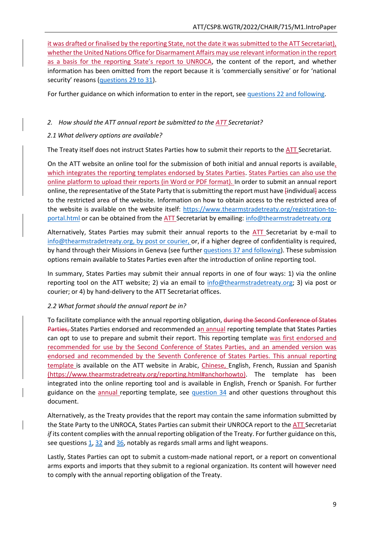it was drafted or finalised by the reporting State, not the date it was submitted to the ATT Secretariat), whether the United Nations Office for Disarmament Affairs may use relevant information in the report as a basis for the reporting State's report to UNROCA, the content of the report, and whether information has been omitted from the report because it is 'commercially sensitive' or for 'national security' reasons [\(questions 29 to 31\)](#page-30-0).

For further guidance on which information to enter in the report, se[e questions 22 and following.](#page-28-1)

#### <span id="page-20-0"></span>*2. How should the ATT annual report be submitted to the ATT Secretariat?*

#### *2.1 What delivery options are available?*

The Treaty itself does not instruct States Parties how to submit their reports to the ATT Secretariat.

On the ATT website an online tool for the submission of both initial and annual reports is available, which integrates the reporting templates endorsed by States Parties. States Parties can also use the online platform to upload their reports (in Word or PDF format). In order to submit an annual report online, the representative of the State Party that is submitting the report must have [individual] access to the restricted area of the website. Information on how to obtain access to the restricted area of the website is available on the website itself: [https://www.thearmstradetreaty.org/registration-to](https://www.thearmstradetreaty.org/registration-to-portal.html)[portal.html](https://www.thearmstradetreaty.org/registration-to-portal.html) or can be obtained from the ATT Secretariat by emailing: [info@thearmstradetreaty.org](mailto:info@thearmstradetreaty.org)

Alternatively, States Parties may submit their annual reports to the ATT Secretariat by e-mail to [info@thearmstradetreaty.org,](mailto:info@thearmstradetreaty.org) by post or courier, or, if a higher degree of confidentiality is required, by hand through their Missions in Geneva (see furthe[r questions 37 and following\)](#page-33-1). These submission options remain available to States Parties even after the introduction of online reporting tool.

In summary, States Parties may submit their annual reports in one of four ways: 1) via the online reporting tool on the ATT website; 2) via an email to [info@thearmstradetreaty.org;](mailto:info@thearmstradetreaty.org) 3) via post or courier; or 4) by hand-delivery to the ATT Secretariat offices.

### *2.2 What format should the annual report be in?*

To facilitate compliance with the annual reporting obligation, during the Second Conference of States Parties, States Parties endorsed and recommended an annual reporting template that States Parties can opt to use to prepare and submit their report. This reporting template was first endorsed and recommended for use by the Second Conference of States Parties, and an amended version was endorsed and recommended by the Seventh Conference of States Parties. This annual reporting template is available on the ATT website in Arabic, Chinese, English, French, Russian and Spanish [\(https://www.thearmstradetreaty.org/reporting.html#anchorhowto\)](https://www.thearmstradetreaty.org/reporting.html#anchorhowto). The template has been integrated into the online reporting tool and is available in English, French or Spanish. For further guidance on the annual reporting template, see [question 34](#page-32-1) and other questions throughout this document.

Alternatively, as the Treaty provides that the report may contain the same information submitted by the State Party to the UNROCA, States Parties can submit their UNROCA report to the ATT Secretariat *if* its content complies with the annual reporting obligation of the Treaty. For further guidance on this, see questions  $1, 32$  $1, 32$  and  $36$ , notably as regards small arms and light weapons.

Lastly, States Parties can opt to submit a custom-made national report, or a report on conventional arms exports and imports that they submit to a regional organization. Its content will however need to comply with the annual reporting obligation of the Treaty.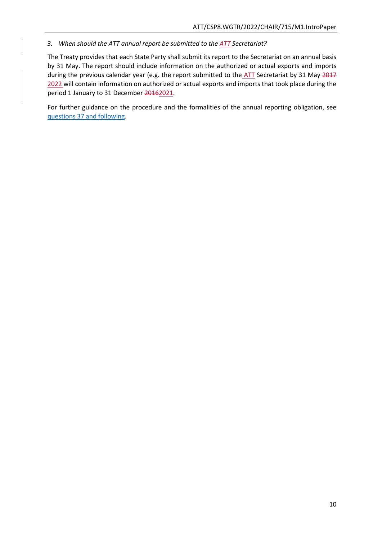<span id="page-21-0"></span>*3. When should the ATT annual report be submitted to the ATT Secretariat?*

The Treaty provides that each State Party shall submit its report to the Secretariat on an annual basis by 31 May. The report should include information on the authorized or actual exports and imports during the previous calendar year (e.g. the report submitted to the ATT Secretariat by 31 May 2017 2022 will contain information on authorized or actual exports and imports that took place during the period 1 January to 31 December 20162021.

For further guidance on the procedure and the formalities of the annual reporting obligation, see [questions 37 and following.](#page-33-1)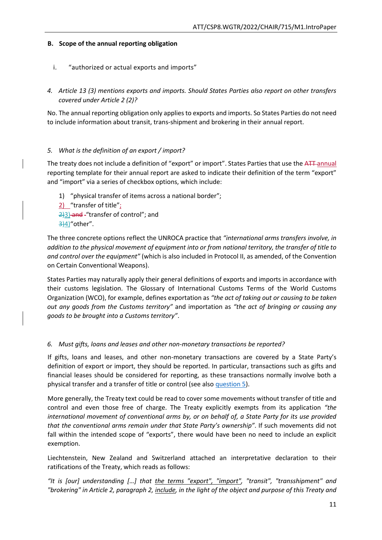# <span id="page-22-0"></span>**B. Scope of the annual reporting obligation**

- <span id="page-22-1"></span>i. "authorized or actual exports and imports"
- <span id="page-22-2"></span>*4. Article 13 (3) mentions exports and imports. Should States Parties also report on other transfers covered under Article 2 (2)?*

No. The annual reporting obligation only applies to exports and imports. So States Parties do not need to include information about transit, trans-shipment and brokering in their annual report.

# <span id="page-22-3"></span>*5. What is the definition of an export / import?*

The treaty does not include a definition of "export" or import". States Parties that use the ATT-annual reporting template for their annual report are asked to indicate their definition of the term "export" and "import" via a series of checkbox options, which include:

1) "physical transfer of items across a national border";  $2)$  "transfer of title"; 2)3) and "transfer of control"; and 3)4)"other".

The three concrete options reflect the UNROCA practice that *"international arms transfers involve, in addition to the physical movement of equipment into or from national territory, the transfer of title to and control over the equipment"* (which is also included in Protocol II, as amended, of the Convention on Certain Conventional Weapons).

States Parties may naturally apply their general definitions of exports and imports in accordance with their customs legislation. The Glossary of International Customs Terms of the World Customs Organization (WCO), for example, defines exportation as *"the act of taking out or causing to be taken out any goods from the Customs territory"* and importation as *"the act of bringing or causing any goods to be brought into a Customs territory"*.

# <span id="page-22-4"></span>*6. Must gifts, loans and leases and other non-monetary transactions be reported?*

If gifts, loans and leases, and other non-monetary transactions are covered by a State Party's definition of export or import, they should be reported. In particular, transactions such as gifts and financial leases should be considered for reporting, as these transactions normally involve both a physical transfer and a transfer of title or control (see als[o question 5\)](#page-22-3).

More generally, the Treaty text could be read to cover some movements without transfer of title and control and even those free of charge. The Treaty explicitly exempts from its application *"the international movement of conventional arms by, or on behalf of, a State Party for its use provided that the conventional arms remain under that State Party's ownership"*. If such movements did not fall within the intended scope of "exports", there would have been no need to include an explicit exemption.

Liechtenstein, New Zealand and Switzerland attached an interpretative declaration to their ratifications of the Treaty, which reads as follows:

*"It is [our] understanding […] that the terms "export", "import", "transit", "transshipment" and "brokering" in Article 2, paragraph 2, include, in the light of the object and purpose of this Treaty and*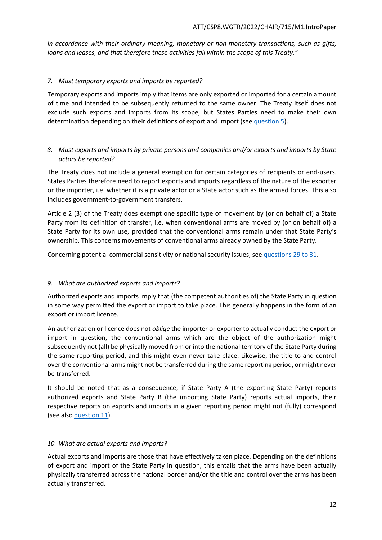*in accordance with their ordinary meaning, monetary or non-monetary transactions, such as gifts, loans and leases, and that therefore these activities fall within the scope of this Treaty."*

### <span id="page-23-0"></span>*7. Must temporary exports and imports be reported?*

Temporary exports and imports imply that items are only exported or imported for a certain amount of time and intended to be subsequently returned to the same owner. The Treaty itself does not exclude such exports and imports from its scope, but States Parties need to make their own determination depending on their definitions of export and import (se[e question 5\)](#page-22-3).

# <span id="page-23-1"></span>*8. Must exports and imports by private persons and companies and/or exports and imports by State actors be reported?*

The Treaty does not include a general exemption for certain categories of recipients or end-users. States Parties therefore need to report exports and imports regardless of the nature of the exporter or the importer, i.e. whether it is a private actor or a State actor such as the armed forces. This also includes government-to-government transfers.

Article 2 (3) of the Treaty does exempt one specific type of movement by (or on behalf of) a State Party from its definition of transfer, i.e. when conventional arms are moved by (or on behalf of) a State Party for its own use, provided that the conventional arms remain under that State Party's ownership. This concerns movements of conventional arms already owned by the State Party.

Concerning potential commercial sensitivity or national security issues, see [questions 29 to 31.](#page-30-0)

### <span id="page-23-2"></span>*9. What are authorized exports and imports?*

Authorized exports and imports imply that (the competent authorities of) the State Party in question in some way permitted the export or import to take place. This generally happens in the form of an export or import licence.

An authorization or licence does not *oblige* the importer or exporter to actually conduct the export or import in question, the conventional arms which are the object of the authorization might subsequently not (all) be physically moved from or into the national territory of the State Party during the same reporting period, and this might even never take place. Likewise, the title to and control over the conventional arms might not be transferred during the same reporting period, or might never be transferred.

It should be noted that as a consequence, if State Party A (the exporting State Party) reports authorized exports and State Party B (the importing State Party) reports actual imports, their respective reports on exports and imports in a given reporting period might not (fully) correspond (see als[o question 11\)](#page-24-1).

#### <span id="page-23-3"></span>*10. What are actual exports and imports?*

Actual exports and imports are those that have effectively taken place. Depending on the definitions of export and import of the State Party in question, this entails that the arms have been actually physically transferred across the national border and/or the title and control over the arms has been actually transferred.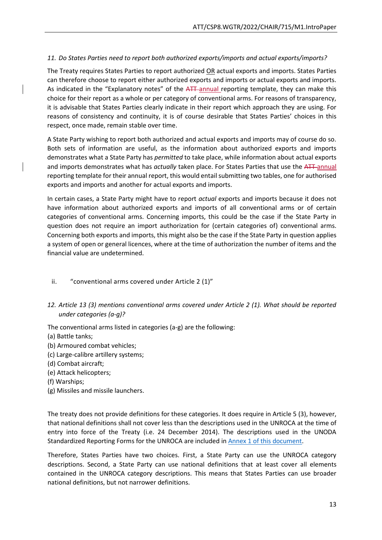# <span id="page-24-1"></span>*11. Do States Parties need to report both authorized exports/imports and actual exports/imports?*

The Treaty requires States Parties to report authorized OR actual exports and imports. States Parties can therefore choose to report either authorized exports and imports or actual exports and imports. As indicated in the "Explanatory notes" of the ATT annual reporting template, they can make this choice for their report as a whole or per category of conventional arms. For reasons of transparency, it is advisable that States Parties clearly indicate in their report which approach they are using. For reasons of consistency and continuity, it is of course desirable that States Parties' choices in this respect, once made, remain stable over time.

A State Party wishing to report both authorized and actual exports and imports may of course do so. Both sets of information are useful, as the information about authorized exports and imports demonstrates what a State Party has *permitted* to take place, while information about actual exports and imports demonstrates what has *actually* taken place. For States Parties that use the ATT annual reporting template for their annual report, this would entail submitting two tables, one for authorised exports and imports and another for actual exports and imports.

In certain cases, a State Party might have to report *actual* exports and imports because it does not have information about authorized exports and imports of all conventional arms or of certain categories of conventional arms. Concerning imports, this could be the case if the State Party in question does not require an import authorization for (certain categories of) conventional arms. Concerning both exports and imports, this might also be the case if the State Party in question applies a system of open or general licences, where at the time of authorization the number of items and the financial value are undetermined.

### <span id="page-24-0"></span>ii. "conventional arms covered under Article 2 (1)"

<span id="page-24-2"></span>*12. Article 13 (3) mentions conventional arms covered under Article 2 (1). What should be reported under categories (a-g)?*

The conventional arms listed in categories (a-g) are the following:

- (a) Battle tanks;
- (b) Armoured combat vehicles;
- (c) Large-calibre artillery systems;
- (d) Combat aircraft;
- (e) Attack helicopters;
- (f) Warships;
- (g) Missiles and missile launchers.

The treaty does not provide definitions for these categories. It does require in Article 5 (3), however, that national definitions shall not cover less than the descriptions used in the UNROCA at the time of entry into force of the Treaty (i.e. 24 December 2014). The descriptions used in the UNODA Standardized Reporting Forms for the UNROCA are included i[n Annex 1 of this document.](#page-36-3)

Therefore, States Parties have two choices. First, a State Party can use the UNROCA category descriptions. Second, a State Party can use national definitions that at least cover all elements contained in the UNROCA category descriptions. This means that States Parties can use broader national definitions, but not narrower definitions.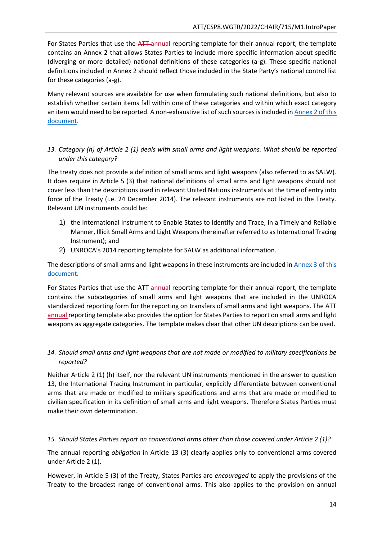For States Parties that use the ATT-annual reporting template for their annual report, the template contains an Annex 2 that allows States Parties to include more specific information about specific (diverging or more detailed) national definitions of these categories (a-g). These specific national definitions included in Annex 2 should reflect those included in the State Party's national control list for these categories (a-g).

Many relevant sources are available for use when formulating such national definitions, but also to establish whether certain items fall within one of these categories and within which exact category an item would need to be reported. A non-exhaustive list of such sources is included in [Annex 2 of this](#page-38-0)  [document.](#page-38-0)

### <span id="page-25-0"></span>*13. Category (h) of Article 2 (1) deals with small arms and light weapons. What should be reported under this category?*

The treaty does not provide a definition of small arms and light weapons (also referred to as SALW). It does require in Article 5 (3) that national definitions of small arms and light weapons should not cover less than the descriptions used in relevant United Nations instruments at the time of entry into force of the Treaty (i.e. 24 December 2014). The relevant instruments are not listed in the Treaty. Relevant UN instruments could be:

- 1) the International Instrument to Enable States to Identify and Trace, in a Timely and Reliable Manner, Illicit Small Arms and Light Weapons (hereinafter referred to as International Tracing Instrument); and
- 2) UNROCA's 2014 reporting template for SALW as additional information.

The descriptions of small arms and light weapons in these instruments are included in [Annex 3 of this](#page-39-1)  [document.](#page-39-1)

For States Parties that use the ATT annual reporting template for their annual report, the template contains the subcategories of small arms and light weapons that are included in the UNROCA standardized reporting form for the reporting on transfers of small arms and light weapons. The ATT annual reporting template also provides the option for States Parties to report on small arms and light weapons as aggregate categories. The template makes clear that other UN descriptions can be used.

# <span id="page-25-1"></span>*14. Should small arms and light weapons that are not made or modified to military specifications be reported?*

Neither Article 2 (1) (h) itself, nor the relevant UN instruments mentioned in the answer to question 13, the International Tracing Instrument in particular, explicitly differentiate between conventional arms that are made or modified to military specifications and arms that are made or modified to civilian specification in its definition of small arms and light weapons. Therefore States Parties must make their own determination.

### <span id="page-25-2"></span>*15. Should States Parties report on conventional arms other than those covered under Article 2 (1)?*

The annual reporting *obligation* in Article 13 (3) clearly applies only to conventional arms covered under Article 2 (1).

However, in Article 5 (3) of the Treaty, States Parties are *encouraged* to apply the provisions of the Treaty to the broadest range of conventional arms. This also applies to the provision on annual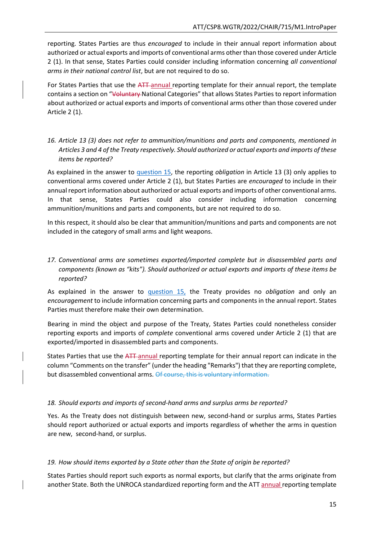reporting. States Parties are thus *encouraged* to include in their annual report information about authorized or actual exports and imports of conventional arms other than those covered under Article 2 (1). In that sense, States Parties could consider including information concerning *all conventional arms in their national control list*, but are not required to do so.

For States Parties that use the ATT-annual reporting template for their annual report, the template contains a section on "Voluntary National Categories" that allows States Parties to report information about authorized or actual exports and imports of conventional arms other than those covered under Article 2 (1).

<span id="page-26-0"></span>*16. Article 13 (3) does not refer to ammunition/munitions and parts and components, mentioned in Articles 3 and 4 of the Treaty respectively. Should authorized or actual exports and imports of these items be reported?*

As explained in the answer to [question 15,](#page-25-2) the reporting *obligation* in Article 13 (3) only applies to conventional arms covered under Article 2 (1), but States Parties are *encouraged* to include in their annual report information about authorized or actual exports and imports of other conventional arms. In that sense, States Parties could also consider including information concerning ammunition/munitions and parts and components, but are not required to do so.

In this respect, it should also be clear that ammunition/munitions and parts and components are not included in the category of small arms and light weapons.

# <span id="page-26-1"></span>*17. Conventional arms are sometimes exported/imported complete but in disassembled parts and components (known as "kits"). Should authorized or actual exports and imports of these items be reported?*

As explained in the answer to [question 15,](#page-25-2) the Treaty provides no *obligation* and only an *encouragement* to include information concerning parts and components in the annual report. States Parties must therefore make their own determination.

Bearing in mind the object and purpose of the Treaty, States Parties could nonetheless consider reporting exports and imports of *complete* conventional arms covered under Article 2 (1) that are exported/imported in disassembled parts and components.

States Parties that use the ATT-annual reporting template for their annual report can indicate in the column "Comments on the transfer" (under the heading "Remarks") that they are reporting complete, but disassembled conventional arms. Of course, this is voluntary information.

### <span id="page-26-2"></span>*18. Should exports and imports of second-hand arms and surplus arms be reported?*

Yes. As the Treaty does not distinguish between new, second-hand or surplus arms, States Parties should report authorized or actual exports and imports regardless of whether the arms in question are new, second-hand, or surplus.

#### <span id="page-26-3"></span>*19. How should items exported by a State other than the State of origin be reported?*

States Parties should report such exports as normal exports, but clarify that the arms originate from another State. Both the UNROCA standardized reporting form and the ATT annual reporting template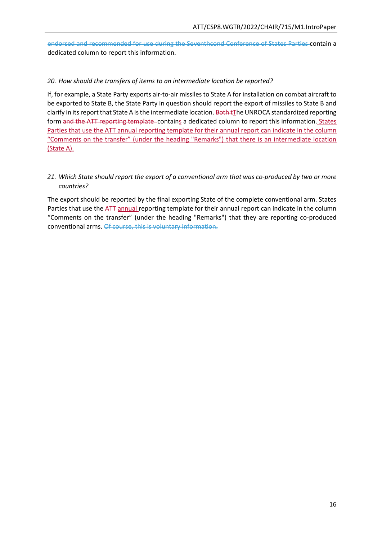endorsed and recommended for use during the Seventhcond Conference of States Parties contain a dedicated column to report this information.

### <span id="page-27-0"></span>*20. How should the transfers of items to an intermediate location be reported?*

If, for example, a State Party exports air-to-air missiles to State A for installation on combat aircraft to be exported to State B, the State Party in question should report the export of missiles to State B and clarify in its report that State A is the intermediate location. Both tThe UNROCA standardized reporting form and the ATT reporting template-contains a dedicated column to report this information. States Parties that use the ATT annual reporting template for their annual report can indicate in the column "Comments on the transfer" (under the heading "Remarks") that there is an intermediate location (State A).

### <span id="page-27-1"></span>*21. Which State should report the export of a conventional arm that was co-produced by two or more countries?*

The export should be reported by the final exporting State of the complete conventional arm. States Parties that use the ATT-annual reporting template for their annual report can indicate in the column "Comments on the transfer" (under the heading "Remarks") that they are reporting co-produced conventional arms. Of course, this is voluntary information.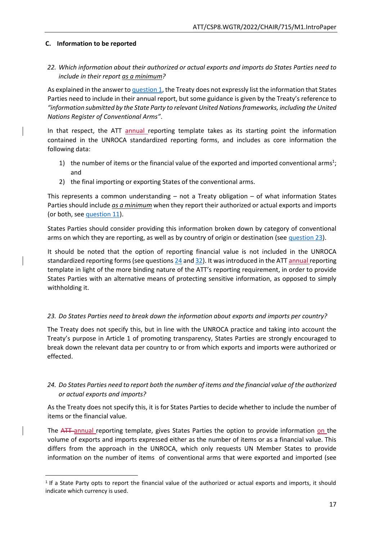### <span id="page-28-0"></span>**C. Information to be reported**

**.** 

# <span id="page-28-1"></span>*22. Which information about their authorized or actual exports and imports do States Parties need to include in their report as a minimum?*

As explained in the answer to [question 1,](#page-19-2) the Treaty does not expressly list the information that States Parties need to include in their annual report, but some guidance is given by the Treaty's reference to *"information submitted by the State Party to relevant United Nations frameworks, including the United Nations Register of Conventional Arms"*.

In that respect, the ATT annual reporting template takes as its starting point the information contained in the UNROCA standardized reporting forms, and includes as core information the following data:

- 1) the number of items or the financial value of the exported and imported conventional arms<sup>1</sup>; and
- 2) the final importing or exporting States of the conventional arms.

This represents a common understanding – not a Treaty obligation – of what information States Parties should include *as a minimum* when they report their authorized or actual exports and imports (or both, se[e question 11\)](#page-24-1).

States Parties should consider providing this information broken down by category of conventional arms on which they are reporting, as well as by country of origin or destination (see [question 23\)](#page-28-2).

It should be noted that the option of reporting financial value is not included in the UNROCA standardized reporting forms (see question[s 24](#page-28-3) an[d 32\)](#page-30-3). It was introduced in the ATT annual reporting template in light of the more binding nature of the ATT's reporting requirement, in order to provide States Parties with an alternative means of protecting sensitive information, as opposed to simply withholding it.

### <span id="page-28-2"></span>*23. Do States Parties need to break down the information about exports and imports per country?*

The Treaty does not specify this, but in line with the UNROCA practice and taking into account the Treaty's purpose in Article 1 of promoting transparency, States Parties are strongly encouraged to break down the relevant data per country to or from which exports and imports were authorized or effected.

# <span id="page-28-3"></span>*24. Do States Parties need to report both the number of items and the financial value of the authorized or actual exports and imports?*

As the Treaty does not specify this, it is for States Parties to decide whether to include the number of items or the financial value.

The ATT annual reporting template, gives States Parties the option to provide information on the volume of exports and imports expressed either as the number of items or as a financial value. This differs from the approach in the UNROCA, which only requests UN Member States to provide information on the number of items of conventional arms that were exported and imported (see

<sup>1</sup> If a State Party opts to report the financial value of the authorized or actual exports and imports, it should indicate which currency is used.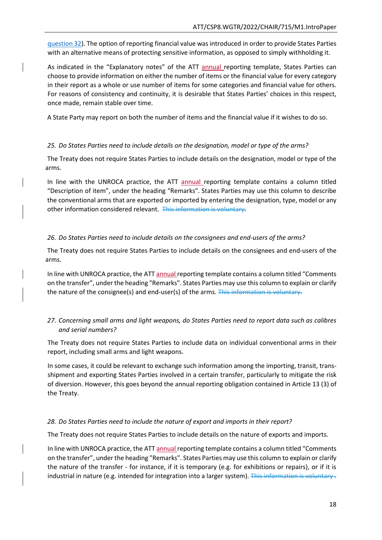[question 32\)](#page-30-3). The option of reporting financial value was introduced in order to provide States Parties with an alternative means of protecting sensitive information, as opposed to simply withholding it.

As indicated in the "Explanatory notes" of the ATT annual reporting template, States Parties can choose to provide information on either the number of items or the financial value for every category in their report as a whole or use number of items for some categories and financial value for others. For reasons of consistency and continuity, it is desirable that States Parties' choices in this respect, once made, remain stable over time.

A State Party may report on both the number of items and the financial value if it wishes to do so.

#### <span id="page-29-0"></span>*25. Do States Parties need to include details on the designation, model or type of the arms?*

The Treaty does not require States Parties to include details on the designation, model or type of the arms.

In line with the UNROCA practice, the ATT annual reporting template contains a column titled "Description of item", under the heading "Remarks". States Parties may use this column to describe the conventional arms that are exported or imported by entering the designation, type, model or any other information considered relevant. This information is voluntary.

### <span id="page-29-1"></span>*26. Do States Parties need to include details on the consignees and end-users of the arms?*

The Treaty does not require States Parties to include details on the consignees and end-users of the arms.

In line with UNROCA practice, the ATT annual reporting template contains a column titled "Comments on the transfer", under the heading "Remarks". States Parties may use this column to explain or clarify the nature of the consignee(s) and end-user(s) of the arms. This information is voluntary.

# <span id="page-29-2"></span>*27. Concerning small arms and light weapons, do States Parties need to report data such as calibres and serial numbers?*

The Treaty does not require States Parties to include data on individual conventional arms in their report, including small arms and light weapons.

In some cases, it could be relevant to exchange such information among the importing, transit, transshipment and exporting States Parties involved in a certain transfer, particularly to mitigate the risk of diversion. However, this goes beyond the annual reporting obligation contained in Article 13 (3) of the Treaty.

### <span id="page-29-3"></span>*28. Do States Parties need to include the nature of export and imports in their report?*

The Treaty does not require States Parties to include details on the nature of exports and imports.

In line with UNROCA practice, the ATT annual reporting template contains a column titled "Comments on the transfer", under the heading "Remarks". States Parties may use this column to explain or clarify the nature of the transfer - for instance, if it is temporary (e.g. for exhibitions or repairs), or if it is industrial in nature (e.g. intended for integration into a larger system). This information is voluntary.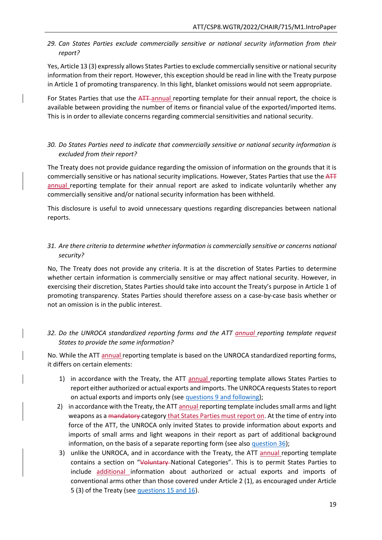<span id="page-30-0"></span>*29. Can States Parties exclude commercially sensitive or national security information from their report?*

Yes, Article 13 (3) expressly allows States Parties to exclude commercially sensitive or national security information from their report. However, this exception should be read in line with the Treaty purpose in Article 1 of promoting transparency. In this light, blanket omissions would not seem appropriate.

For States Parties that use the ATT-annual reporting template for their annual report, the choice is available between providing the number of items or financial value of the exported/imported items. This is in order to alleviate concerns regarding commercial sensitivities and national security.

### <span id="page-30-1"></span>*30. Do States Parties need to indicate that commercially sensitive or national security information is excluded from their report?*

The Treaty does not provide guidance regarding the omission of information on the grounds that it is commercially sensitive or has national security implications. However, States Parties that use the ATT annual reporting template for their annual report are asked to indicate voluntarily whether any commercially sensitive and/or national security information has been withheld.

This disclosure is useful to avoid unnecessary questions regarding discrepancies between national reports.

# <span id="page-30-2"></span>*31. Are there criteria to determine whether information is commercially sensitive or concerns national security?*

No, The Treaty does not provide any criteria. It is at the discretion of States Parties to determine whether certain information is commercially sensitive or may affect national security. However, in exercising their discretion, States Parties should take into account the Treaty's purpose in Article 1 of promoting transparency. States Parties should therefore assess on a case-by-case basis whether or not an omission is in the public interest.

# <span id="page-30-3"></span>*32. Do the UNROCA standardized reporting forms and the ATT annual reporting template request States to provide the same information?*

No. While the ATT annual reporting template is based on the UNROCA standardized reporting forms, it differs on certain elements:

- 1) in accordance with the Treaty, the ATT annual reporting template allows States Parties to report either authorized or actual exports and imports. The UNROCA requests States to report on actual exports and imports only (see [questions 9 and following\)](#page-23-2);
- 2) in accordance with the Treaty, the ATT annual reporting template includes small arms and light weapons as a mandatory category that States Parties must report on. At the time of entry into force of the ATT, the UNROCA only invited States to provide information about exports and imports of small arms and light weapons in their report as part of additional background information, on the basis of a separate reporting form (see also [question 36\)](#page-32-3);
- 3) unlike the UNROCA, and in accordance with the Treaty, the ATT annual reporting template contains a section on "Voluntary-National Categories". This is to permit States Parties to include additional information about authorized or actual exports and imports of conventional arms other than those covered under Article 2 (1), as encouraged under Article 5 (3) of the Treaty (see [questions 15 and 16\)](#page-25-2).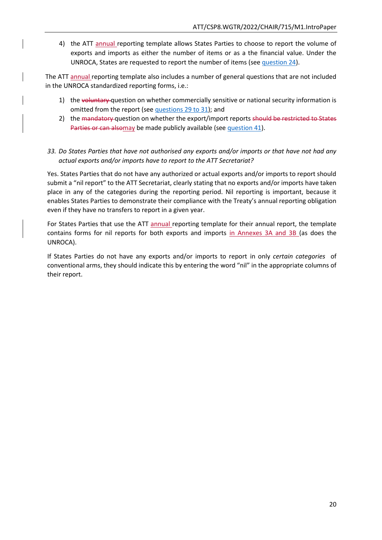4) the ATT annual reporting template allows States Parties to choose to report the volume of exports and imports as either the number of items or as a the financial value. Under the UNROCA, States are requested to report the number of items (see [question 24\)](#page-28-3).

The ATT annual reporting template also includes a number of general questions that are not included in the UNROCA standardized reporting forms, i.e.:

- 1) the voluntary question on whether commercially sensitive or national security information is omitted from the report (se[e questions 29 to 31\)](#page-30-0); and
- 2) the mandatory question on whether the export/import reports should be restricted to States Parties or can alsomay be made publicly available (se[e question 41\)](#page-34-1).

### <span id="page-31-0"></span>*33. Do States Parties that have not authorised any exports and/or imports or that have not had any actual exports and/or imports have to report to the ATT Secretariat?*

Yes. States Parties that do not have any authorized or actual exports and/or imports to report should submit a "nil report" to the ATT Secretariat, clearly stating that no exports and/or imports have taken place in any of the categories during the reporting period. Nil reporting is important, because it enables States Parties to demonstrate their compliance with the Treaty's annual reporting obligation even if they have no transfers to report in a given year.

For States Parties that use the ATT annual reporting template for their annual report, the template contains forms for nil reports for both exports and imports in Annexes 3A and 3B (as does the UNROCA).

If States Parties do not have any exports and/or imports to report in only *certain categories* of conventional arms, they should indicate this by entering the word "nil" in the appropriate columns of their report.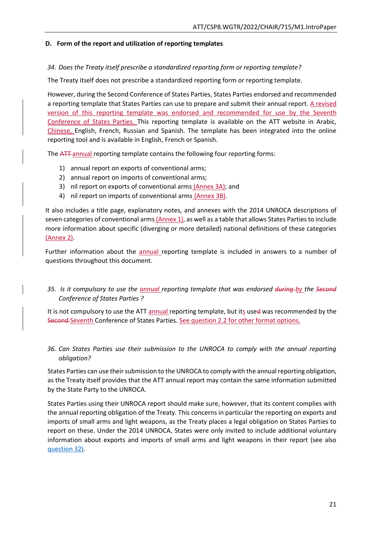#### <span id="page-32-0"></span>**D. Form of the report and utilization of reporting templates**

#### <span id="page-32-1"></span>*34. Does the Treaty itself prescribe a standardized reporting form or reporting template?*

The Treaty itself does not prescribe a standardized reporting form or reporting template.

However, during the Second Conference of States Parties, States Parties endorsed and recommended a reporting template that States Parties can use to prepare and submit their annual report. A revised version of this reporting template was endorsed and recommended for use by the Seventh Conference of States Parties. This reporting template is available on the ATT website in Arabic, Chinese, English, French, Russian and Spanish. The template has been integrated into the online reporting tool and is available in English, French or Spanish.

The ATT annual reporting template contains the following four reporting forms:

- 1) annual report on exports of conventional arms;
- 2) annual report on imports of conventional arms;
- 3) nil report on exports of conventional arms (Annex 3A); and
- 4) nil report on imports of conventional arms (Annex 3B).

It also includes a title page, explanatory notes, and annexes with the 2014 UNROCA descriptions of seven categories of conventional arms (Annex 1), as well as a table that allows States Parties to include more information about specific (diverging or more detailed) national definitions of these categories (Annex 2).

Further information about the **annual reporting template is included in answers to a number of** questions throughout this document.

# <span id="page-32-2"></span>*35. Is it compulsory to use the annual reporting template that was endorsed during by the Second Conference of States Parties ?*

It is not compulsory to use the ATT annual reporting template, but its used was recommended by the Second Seventh Conference of States Parties. See question 2.2 for other format options.

### <span id="page-32-3"></span>*36. Can States Parties use their submission to the UNROCA to comply with the annual reporting obligation?*

States Parties can use their submission to the UNROCA to comply with the annual reporting obligation, as the Treaty itself provides that the ATT annual report may contain the same information submitted by the State Party to the UNROCA.

States Parties using their UNROCA report should make sure, however, that its content complies with the annual reporting obligation of the Treaty. This concerns in particular the reporting on exports and imports of small arms and light weapons, as the Treaty places a legal obligation on States Parties to report on these. Under the 2014 UNROCA, States were only invited to include additional voluntary information about exports and imports of small arms and light weapons in their report (see also [question 32\)](#page-30-3).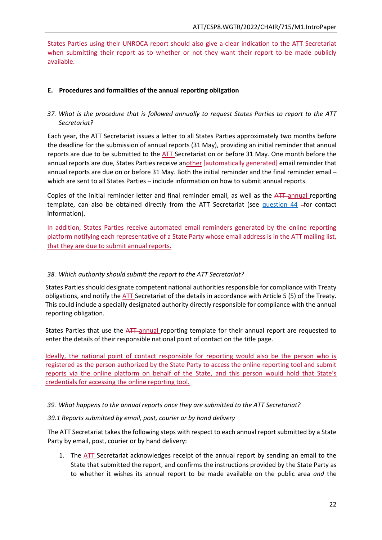States Parties using their UNROCA report should also give a clear indication to the ATT Secretariat when submitting their report as to whether or not they want their report to be made publicly available.

#### <span id="page-33-0"></span>**E. Procedures and formalities of the annual reporting obligation**

### <span id="page-33-1"></span>*37. What is the procedure that is followed annually to request States Parties to report to the ATT Secretariat?*

Each year, the ATT Secretariat issues a letter to all States Parties approximately two months before the deadline for the submission of annual reports (31 May), providing an initial reminder that annual reports are due to be submitted to the ATT Secretariat on or before 31 May. One month before the annual reports are due, States Parties receive another [automatically generated] email reminder that annual reports are due on or before 31 May. Both the initial reminder and the final reminder email – which are sent to all States Parties – include information on how to submit annual reports.

Copies of the initial reminder letter and final reminder email, as well as the ATT-annual reporting template, can also be obtained directly from the ATT Secretariat (see question  $44$  -for contact information).

In addition, States Parties receive automated email reminders generated by the online reporting platform notifying each representative of a State Party whose email address is in the ATT mailing list, that they are due to submit annual reports.

#### <span id="page-33-2"></span>*38. Which authority should submit the report to the ATT Secretariat?*

States Parties should designate competent national authorities responsible for compliance with Treaty obligations, and notify the ATT Secretariat of the details in accordance with Article 5 (5) of the Treaty. This could include a specially designated authority directly responsible for compliance with the annual reporting obligation.

States Parties that use the ATT annual reporting template for their annual report are requested to enter the details of their responsible national point of contact on the title page.

Ideally, the national point of contact responsible for reporting would also be the person who is registered as the person authorized by the State Party to access the online reporting tool and submit reports via the online platform on behalf of the State, and this person would hold that State's credentials for accessing the online reporting tool.

#### <span id="page-33-3"></span>*39. What happens to the annual reports once they are submitted to the ATT Secretariat?*

#### *39.1 Reports submitted by email, post, courier or by hand delivery*

The ATT Secretariat takes the following steps with respect to each annual report submitted by a State Party by email, post, courier or by hand delivery:

1. The ATT Secretariat acknowledges receipt of the annual report by sending an email to the State that submitted the report, and confirms the instructions provided by the State Party as to whether it wishes its annual report to be made available on the public area *and* the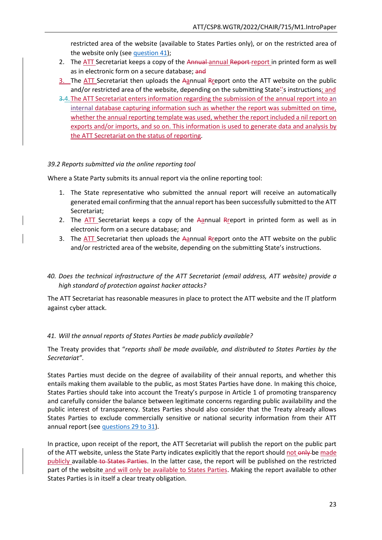restricted area of the website (available to States Parties only), or on the restricted area of the website only (see [question 41\)](#page-34-1);

- 2. The ATT Secretariat keeps a copy of the Annual annual Report-report in printed form as well as in electronic form on a secure database; and
- 3. The ATT Secretariat then uploads the Aannual Rreport onto the ATT website on the public and/or restricted area of the website, depending on the submitting State''s instructions; and
- 3.4.The ATT Secretariat enters information regarding the submission of the annual report into an internal database capturing information such as whether the report was submitted on time, whether the annual reporting template was used, whether the report included a nil report on exports and/or imports, and so on. This information is used to generate data and analysis by the ATT Secretariat on the status of reporting.

#### *39.2 Reports submitted via the online reporting tool*

Where a State Party submits its annual report via the online reporting tool:

- 1. The State representative who submitted the annual report will receive an automatically generated email confirming that the annual report has been successfully submitted to the ATT Secretariat;
- 2. The  $ATT$  Secretariat keeps a copy of the Aannual Rreport in printed form as well as in electronic form on a secure database; and
- 3. The ATT Secretariat then uploads the Aannual Rreport onto the ATT website on the public and/or restricted area of the website, depending on the submitting State's instructions.
- <span id="page-34-0"></span>*40. Does the technical infrastructure of the ATT Secretariat (email address, ATT website) provide a high standard of protection against hacker attacks?*

The ATT Secretariat has reasonable measures in place to protect the ATT website and the IT platform against cyber attack.

#### <span id="page-34-1"></span>*41. Will the annual reports of States Parties be made publicly available?*

The Treaty provides that "*reports shall be made available, and distributed to States Parties by the Secretariat"*.

States Parties must decide on the degree of availability of their annual reports, and whether this entails making them available to the public, as most States Parties have done. In making this choice, States Parties should take into account the Treaty's purpose in Article 1 of promoting transparency and carefully consider the balance between legitimate concerns regarding public availability and the public interest of transparency. States Parties should also consider that the Treaty already allows States Parties to exclude commercially sensitive or national security information from their ATT annual report (see [questions 29 to 31\)](#page-30-0).

In practice, upon receipt of the report, the ATT Secretariat will publish the report on the public part of the ATT website, unless the State Party indicates explicitly that the report should not only be made publicly available to States Parties. In the latter case, the report will be published on the restricted part of the website and will only be available to States Parties. Making the report available to other States Parties is in itself a clear treaty obligation.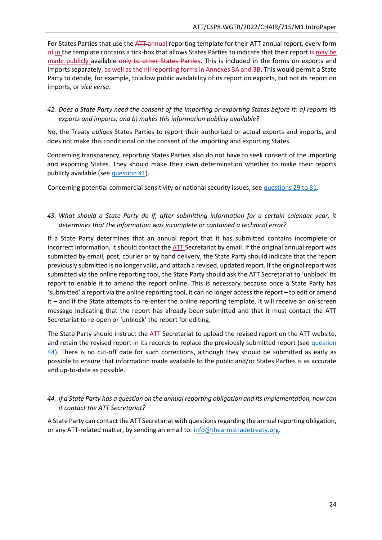For States Parties that use the ATT-annual reporting template for their ATT annual report, every form of in the template contains a tick-box that allows States Parties to indicate that their report is may be made publicly available only to other States Parties. This is included in the forms on exports and imports separately, as well as the nil reporting forms in Annexes 3A and 3B. This would permit a State Party to decide, for example, to allow public availability of its report on exports, but not its report on imports, or *vice versa*.

### <span id="page-35-0"></span>*42. Does a State Party need the consent of the importing or exporting States before it: a) reports its exports and imports; and b) makes this information publicly available?*

No, the Treaty *obliges* States Parties to report their authorized or actual exports and imports, and does not make this conditional on the consent of the importing and exporting States.

Concerning transparency, reporting States Parties also do not have to seek consent of the importing and exporting States. They should make their own determination whether to make their reports publicly available (see [question 41\)](#page-34-1).

Concerning potential commercial sensitivity or national security issues, see [questions 29 to 31.](#page-30-0)

### <span id="page-35-1"></span>*43. What should a State Party do if, after submitting information for a certain calendar year, it determines that the information was incomplete or contained a technical error?*

If a State Party determines that an annual report that it has submitted contains incomplete or incorrect information, it should contact the ATT Secretariat by email. If the original annual report was submitted by email, post, courier or by hand delivery, the State Party should indicate that the report previously submitted is no longer valid, and attach a revised, updated report. If the original report was submitted via the online reporting tool, the State Party should ask the ATT Secretariat to 'unblock' its report to enable it to amend the report online. This is necessary because once a State Party has 'submitted' a report via the online reporting tool, it can no longer access the report – to edit or amend it – and if the State attempts to re-enter the online reporting template, it will receive an on-screen message indicating that the report has already been submitted and that it must contact the ATT Secretariat to re-open or 'unblock' the report for editing.

The State Party should instruct the ATT Secretariat to upload the revised report on the ATT website, and retain the revised report in its records to replace the previously submitted report (see question [44\)](#page-35-2). There is no cut-off date for such corrections, although they should be submitted as early as possible to ensure that information made available to the public and/or States Parties is as accurate and up-to-date as possible.

# <span id="page-35-2"></span>*44. If a State Party has a question on the annual reporting obligation and its implementation, how can it contact the ATT Secretariat?*

A State Party can contact the ATT Secretariat with questions regarding the annual reporting obligation, or any ATT-related matter, by sending an email to: [info@thearmstradetreaty.org.](mailto:info@thearmstradetreaty.org)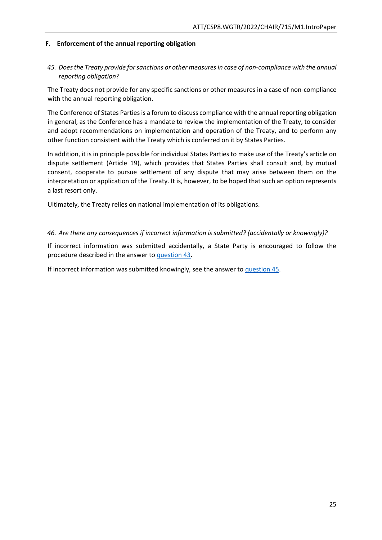#### <span id="page-36-0"></span>**F. Enforcement of the annual reporting obligation**

### <span id="page-36-1"></span>*45. Does the Treaty provide for sanctions or other measures in case of non-compliance with the annual reporting obligation?*

The Treaty does not provide for any specific sanctions or other measures in a case of non-compliance with the annual reporting obligation.

The Conference of States Parties is a forum to discuss compliance with the annual reporting obligation in general, as the Conference has a mandate to review the implementation of the Treaty, to consider and adopt recommendations on implementation and operation of the Treaty, and to perform any other function consistent with the Treaty which is conferred on it by States Parties.

In addition, it is in principle possible for individual States Parties to make use of the Treaty's article on dispute settlement (Article 19), which provides that States Parties shall consult and, by mutual consent, cooperate to pursue settlement of any dispute that may arise between them on the interpretation or application of the Treaty. It is, however, to be hoped that such an option represents a last resort only.

Ultimately, the Treaty relies on national implementation of its obligations.

#### <span id="page-36-2"></span>*46. Are there any consequences if incorrect information is submitted? (accidentally or knowingly)?*

If incorrect information was submitted accidentally, a State Party is encouraged to follow the procedure described in the answer to [question 43.](#page-35-1)

<span id="page-36-3"></span>If incorrect information was submitted knowingly, see the answer to [question 45.](#page-36-1)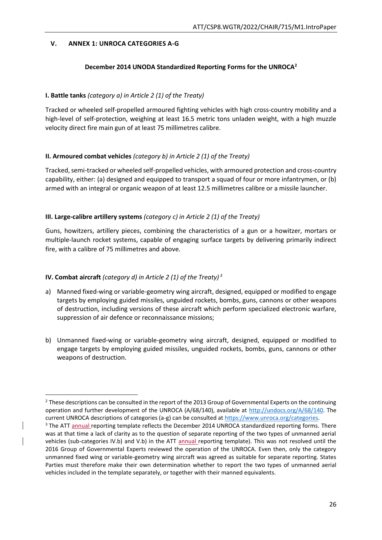### <span id="page-37-0"></span>**V. ANNEX 1: UNROCA CATEGORIES A-G**

### **December 2014 UNODA Standardized Reporting Forms for the UNROCA<sup>2</sup>**

#### **I. Battle tanks** *(category a) in Article 2 (1) of the Treaty)*

Tracked or wheeled self-propelled armoured fighting vehicles with high cross-country mobility and a high-level of self-protection, weighing at least 16.5 metric tons unladen weight, with a high muzzle velocity direct fire main gun of at least 75 millimetres calibre.

#### **II. Armoured combat vehicles** *(category b) in Article 2 (1) of the Treaty)*

Tracked, semi-tracked or wheeled self-propelled vehicles, with armoured protection and cross-country capability, either: (a) designed and equipped to transport a squad of four or more infantrymen, or (b) armed with an integral or organic weapon of at least 12.5 millimetres calibre or a missile launcher.

### **III. Large-calibre artillery systems** *(category c) in Article 2 (1) of the Treaty)*

Guns, howitzers, artillery pieces, combining the characteristics of a gun or a howitzer, mortars or multiple-launch rocket systems, capable of engaging surface targets by delivering primarily indirect fire, with a calibre of 75 millimetres and above.

### **IV. Combat aircraft** *(category d) in Article 2 (1) of the Treaty) <sup>3</sup>*

**.** 

- a) Manned fixed-wing or variable-geometry wing aircraft, designed, equipped or modified to engage targets by employing guided missiles, unguided rockets, bombs, guns, cannons or other weapons of destruction, including versions of these aircraft which perform specialized electronic warfare, suppression of air defence or reconnaissance missions;
- b) Unmanned fixed-wing or variable-geometry wing aircraft, designed, equipped or modified to engage targets by employing guided missiles, unguided rockets, bombs, guns, cannons or other weapons of destruction.

<sup>&</sup>lt;sup>2</sup> These descriptions can be consulted in the report of the 2013 Group of Governmental Experts on the continuing operation and further development of the UNROCA (A/68/140), available at [http://undocs.org/A/68/140.](http://undocs.org/A/68/140) The current UNROCA descriptions of categories (a-g) can be consulted a[t https://www.unroca.org/categories.](https://www.unroca.org/categories)

<sup>&</sup>lt;sup>3</sup> The ATT annual reporting template reflects the December 2014 UNROCA standardized reporting forms. There was at that time a lack of clarity as to the question of separate reporting of the two types of unmanned aerial vehicles (sub-categories IV.b) and V.b) in the ATT annual reporting template). This was not resolved until the 2016 Group of Governmental Experts reviewed the operation of the UNROCA. Even then, only the category unmanned fixed wing or variable-geometry wing aircraft was agreed as suitable for separate reporting. States Parties must therefore make their own determination whether to report the two types of unmanned aerial vehicles included in the template separately, or together with their manned equivalents.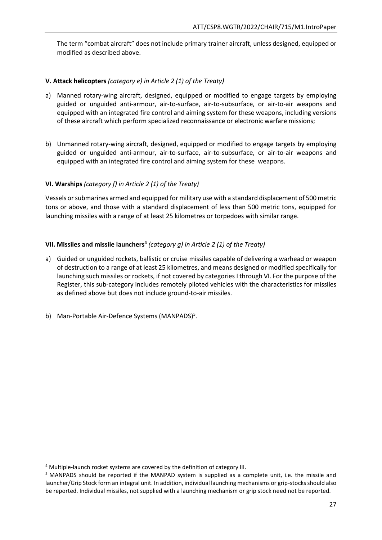The term "combat aircraft" does not include primary trainer aircraft, unless designed, equipped or modified as described above.

### **V. Attack helicopters** *(category e) in Article 2 (1) of the Treaty)*

- a) Manned rotary-wing aircraft, designed, equipped or modified to engage targets by employing guided or unguided anti-armour, air-to-surface, air-to-subsurface, or air-to-air weapons and equipped with an integrated fire control and aiming system for these weapons, including versions of these aircraft which perform specialized reconnaissance or electronic warfare missions;
- b) Unmanned rotary-wing aircraft, designed, equipped or modified to engage targets by employing guided or unguided anti-armour, air-to-surface, air-to-subsurface, or air-to-air weapons and equipped with an integrated fire control and aiming system for these weapons.

### **VI. Warships** *(category f) in Article 2 (1) of the Treaty)*

Vessels or submarines armed and equipped for military use with a standard displacement of 500 metric tons or above, and those with a standard displacement of less than 500 metric tons, equipped for launching missiles with a range of at least 25 kilometres or torpedoes with similar range.

# **VII. Missiles and missile launchers<sup>4</sup>** *(category g) in Article 2 (1) of the Treaty)*

- a) Guided or unguided rockets, ballistic or cruise missiles capable of delivering a warhead or weapon of destruction to a range of at least 25 kilometres, and means designed or modified specifically for launching such missiles or rockets, if not covered by categories I through VI. For the purpose of the Register, this sub-category includes remotely piloted vehicles with the characteristics for missiles as defined above but does not include ground-to-air missiles.
- <span id="page-38-0"></span>b) Man-Portable Air-Defence Systems (MANPADS)<sup>5</sup>.

**.** 

<sup>4</sup> Multiple-launch rocket systems are covered by the definition of category III.

<sup>5</sup> MANPADS should be reported if the MANPAD system is supplied as a complete unit, i.e. the missile and launcher/Grip Stock form an integral unit. In addition, individual launching mechanisms or grip-stocks should also be reported. Individual missiles, not supplied with a launching mechanism or grip stock need not be reported.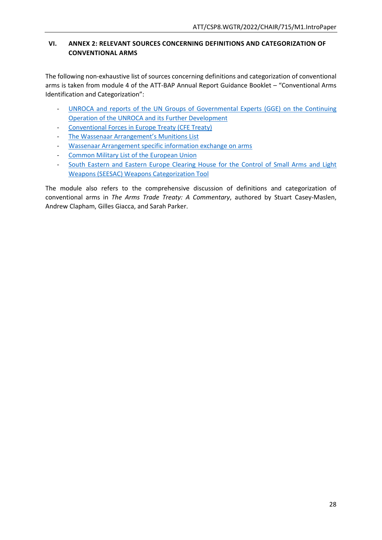# <span id="page-39-0"></span>**VI. ANNEX 2: RELEVANT SOURCES CONCERNING DEFINITIONS AND CATEGORIZATION OF CONVENTIONAL ARMS**

The following non-exhaustive list of sources concerning definitions and categorization of conventional arms is taken from module 4 of the ATT-BAP Annual Report Guidance Booklet – "Conventional Arms Identification and Categorization":

- UNROCA and reports of the UN Groups of [Governmental Experts \(GGE\) on the Continuing](https://www.unroca.org/)  [Operation of the UNROCA and its Further Development](https://www.unroca.org/)
- [Conventional Forces in Europe Treaty \(CFE Treaty\)](http://www.osce.org/library/14087)
- Th[e Wassenaar Arrangement's Munitions List](http://www.wassenaar.org/control-lists/)
- [Wassenaar Arrangement specific information exchange on arms](http://www.wassenaar.org/wp-content/uploads/2016/07/Basic_Documents_2016_January.pdf)
- [Common Military List of the European Union](https://eeas.europa.eu/headquarters/headquarters-homepage/427/disarmament-non-proliferation-and-arms-export-control_en)
- South Eastern and Eastern Europe Clearing House for the Control of Small Arms and Light [Weapons \(SEESAC\) Weapons Categorization Tool](http://www.seesac.org/Software-Tools/)

<span id="page-39-1"></span>The module also refers to the comprehensive discussion of definitions and categorization of conventional arms in *The Arms Trade Treaty: A Commentary*, authored by Stuart Casey-Maslen, Andrew Clapham, Gilles Giacca, and Sarah Parker.